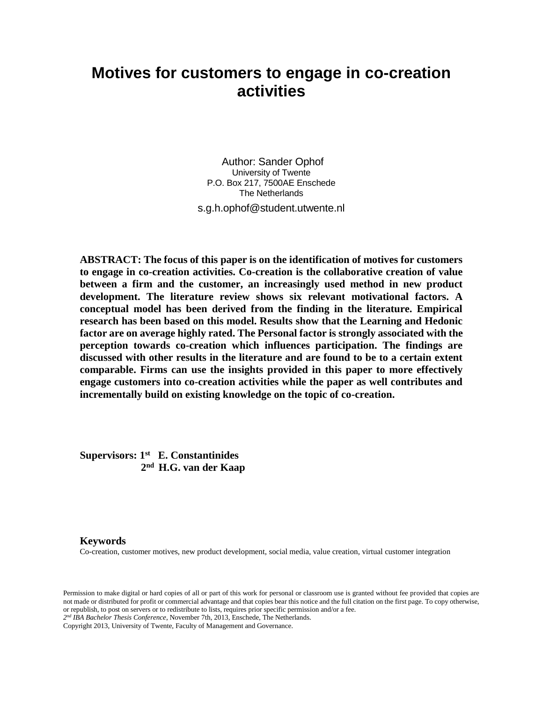# **Motives for customers to engage in co-creation activities**

Author: Sander Ophof University of Twente P.O. Box 217, 7500AE Enschede The Netherlands s.g.h.ophof@student.utwente.nl

**ABSTRACT: The focus of this paper is on the identification of motives for customers to engage in co-creation activities. Co-creation is the collaborative creation of value between a firm and the customer, an increasingly used method in new product development. The literature review shows six relevant motivational factors. A conceptual model has been derived from the finding in the literature. Empirical research has been based on this model. Results show that the Learning and Hedonic factor are on average highly rated. The Personal factor is strongly associated with the perception towards co-creation which influences participation. The findings are discussed with other results in the literature and are found to be to a certain extent comparable. Firms can use the insights provided in this paper to more effectively engage customers into co-creation activities while the paper as well contributes and incrementally build on existing knowledge on the topic of co-creation.**

**Supervisors: 1 st E. Constantinides 2 nd H.G. van der Kaap**

### **Keywords**

Co-creation, customer motives, new product development, social media, value creation, virtual customer integration

Permission to make digital or hard copies of all or part of this work for personal or classroom use is granted without fee provided that copies are not made or distributed for profit or commercial advantage and that copies bear this notice and the full citation on the first page. To copy otherwise, or republish, to post on servers or to redistribute to lists, requires prior specific permission and/or a fee.

*2 nd IBA Bachelor Thesis Conference*, November 7th, 2013, Enschede, The Netherlands.

Copyright 2013, University of Twente, Faculty of Management and Governance.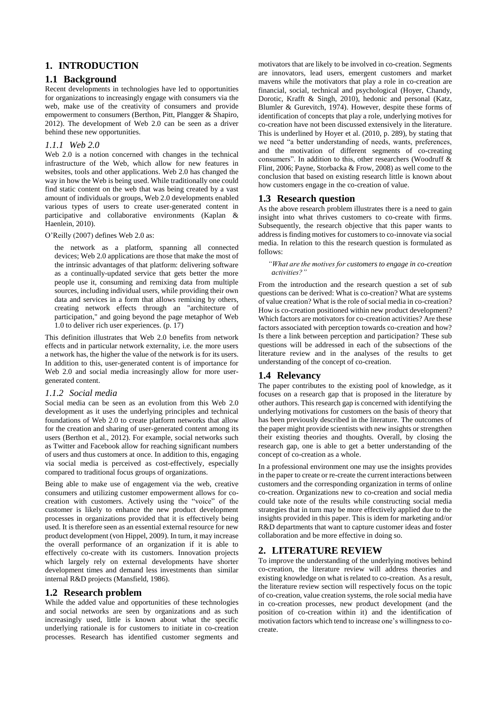## **1. INTRODUCTION**

## **1.1 Background**

Recent developments in technologies have led to opportunities for organizations to increasingly engage with consumers via the web, make use of the creativity of consumers and provide empowerment to consumers (Berthon, Pitt, Plangger & Shapiro, 2012). The development of Web 2.0 can be seen as a driver behind these new opportunities.

### *1.1.1 Web 2.0*

Web 2.0 is a notion concerned with changes in the technical infrastructure of the Web, which allow for new features in websites, tools and other applications. Web 2.0 has changed the way in how the Web is being used. While traditionally one could find static content on the web that was being created by a vast amount of individuals or groups, Web 2.0 developments enabled various types of users to create user-generated content in participative and collaborative environments (Kaplan & Haenlein, 2010).

#### O'Reilly (2007) defines Web 2.0 as:

 the network as a platform, spanning all connected devices; Web 2.0 applications are those that make the most of the intrinsic advantages of that platform: delivering software as a continually-updated service that gets better the more people use it, consuming and remixing data from multiple sources, including individual users, while providing their own data and services in a form that allows remixing by others, creating network effects through an "architecture of participation," and going beyond the page metaphor of Web 1.0 to deliver rich user experiences. (p. 17)

This definition illustrates that Web 2.0 benefits from network effects and in particular network externality, i.e. the more users a network has, the higher the value of the network is for its users. In addition to this, user-generated content is of importance for Web 2.0 and social media increasingly allow for more usergenerated content.

#### *1.1.2 Social media*

Social media can be seen as an evolution from this Web 2.0 development as it uses the underlying principles and technical foundations of Web 2.0 to create platform networks that allow for the creation and sharing of user-generated content among its users (Berthon et al., 2012). For example, social networks such as Twitter and Facebook allow for reaching significant numbers of users and thus customers at once. In addition to this, engaging via social media is perceived as cost-effectively, especially compared to traditional focus groups of organizations.

Being able to make use of engagement via the web, creative consumers and utilizing customer empowerment allows for cocreation with customers. Actively using the "voice" of the customer is likely to enhance the new product development processes in organizations provided that it is effectively being used. It is therefore seen as an essential external resource for new product development (von Hippel, 2009). In turn, it may increase the overall performance of an organization if it is able to effectively co-create with its customers. Innovation projects which largely rely on external developments have shorter development times and demand less investments than similar internal R&D projects (Mansfield, 1986).

### **1.2 Research problem**

While the added value and opportunities of these technologies and social networks are seen by organizations and as such increasingly used, little is known about what the specific underlying rationale is for customers to initiate in co-creation processes. Research has identified customer segments and motivators that are likely to be involved in co-creation. Segments are innovators, lead users, emergent customers and market mavens while the motivators that play a role in co-creation are financial, social, technical and psychological (Hoyer, Chandy, Dorotic, Krafft & Singh, 2010), hedonic and personal (Katz, Blumler & Gurevitch, 1974). However, despite these forms of identification of concepts that play a role, underlying motives for co-creation have not been discussed extensively in the literature. This is underlined by Hoyer et al. (2010, p. 289), by stating that we need "a better understanding of needs, wants, preferences, and the motivation of different segments of co-creating consumers". In addition to this, other researchers (Woodruff & Flint, 2006; Payne, Storbacka & Frow, 2008) as well come to the conclusion that based on existing research little is known about how customers engage in the co-creation of value.

## **1.3 Research question**

As the above research problem illustrates there is a need to gain insight into what thrives customers to co-create with firms. Subsequently, the research objective that this paper wants to address is finding motives for customers to co-innovate via social media. In relation to this the research question is formulated as follows:

 *"What are the motives for customers to engage in co-creation activities?"*

From the introduction and the research question a set of sub questions can be derived: What is co-creation? What are systems of value creation? What is the role of social media in co-creation? How is co-creation positioned within new product development? Which factors are motivators for co-creation activities? Are these factors associated with perception towards co-creation and how? Is there a link between perception and participation? These sub questions will be addressed in each of the subsections of the literature review and in the analyses of the results to get understanding of the concept of co-creation.

## **1.4 Relevancy**

The paper contributes to the existing pool of knowledge, as it focuses on a research gap that is proposed in the literature by other authors. This research gap is concerned with identifying the underlying motivations for customers on the basis of theory that has been previously described in the literature. The outcomes of the paper might provide scientists with new insights or strengthen their existing theories and thoughts. Overall, by closing the research gap, one is able to get a better understanding of the concept of co-creation as a whole.

In a professional environment one may use the insights provides in the paper to create or re-create the current interactions between customers and the corresponding organization in terms of online co-creation. Organizations new to co-creation and social media could take note of the results while constructing social media strategies that in turn may be more effectively applied due to the insights provided in this paper. This is idem for marketing and/or R&D departments that want to capture customer ideas and foster collaboration and be more effective in doing so.

## **2. LITERATURE REVIEW**

To improve the understanding of the underlying motives behind co-creation, the literature review will address theories and existing knowledge on what is related to co-creation. As a result, the literature review section will respectively focus on the topic of co-creation, value creation systems, the role social media have in co-creation processes, new product development (and the position of co-creation within it) and the identification of motivation factors which tend to increase one's willingness to cocreate.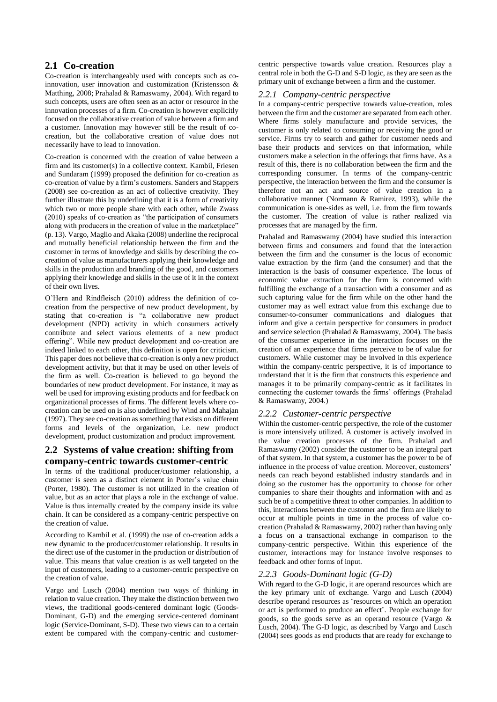## **2.1 Co-creation**

Co-creation is interchangeably used with concepts such as coinnovation, user innovation and customization (Kristensson & Matthing, 2008; Prahalad & Ramaswamy, 2004). With regard to such concepts, users are often seen as an actor or resource in the innovation processes of a firm. Co-creation is however explicitly focused on the collaborative creation of value between a firm and a customer. Innovation may however still be the result of cocreation, but the collaborative creation of value does not necessarily have to lead to innovation.

Co-creation is concerned with the creation of value between a firm and its customer(s) in a collective context. Kambil, Friesen and Sundaram (1999) proposed the definition for co-creation as co-creation of value by a firm's customers. Sanders and Stappers (2008) see co-creation as an act of collective creativity. They further illustrate this by underlining that it is a form of creativity which two or more people share with each other, while Zwass (2010) speaks of co-creation as "the participation of consumers along with producers in the creation of value in the marketplace" (p. 13). Vargo, Maglio and Akaka (2008) underline the reciprocal and mutually beneficial relationship between the firm and the customer in terms of knowledge and skills by describing the cocreation of value as manufacturers applying their knowledge and skills in the production and branding of the good, and customers applying their knowledge and skills in the use of it in the context of their own lives.

O'Hern and Rindfleisch (2010) address the definition of cocreation from the perspective of new product development, by stating that co-creation is "a collaborative new product development (NPD) activity in which consumers actively contribute and select various elements of a new product offering". While new product development and co-creation are indeed linked to each other, this definition is open for criticism. This paper does not believe that co-creation is only a new product development activity, but that it may be used on other levels of the firm as well. Co-creation is believed to go beyond the boundaries of new product development. For instance, it may as well be used for improving existing products and for feedback on organizational processes of firms. The different levels where cocreation can be used on is also underlined by Wind and Mahajan (1997). They see co-creation as something that exists on different forms and levels of the organization, i.e. new product development, product customization and product improvement.

## **2.2 Systems of value creation: shifting from company-centric towards customer-centric**

In terms of the traditional producer/customer relationship, a customer is seen as a distinct element in Porter's value chain (Porter, 1980). The customer is not utilized in the creation of value, but as an actor that plays a role in the exchange of value. Value is thus internally created by the company inside its value chain. It can be considered as a company-centric perspective on the creation of value.

According to Kambil et al. (1999) the use of co-creation adds a new dynamic to the producer/customer relationship. It results in the direct use of the customer in the production or distribution of value. This means that value creation is as well targeted on the input of customers, leading to a customer-centric perspective on the creation of value.

Vargo and Lusch (2004) mention two ways of thinking in relation to value creation. They make the distinction between two views, the traditional goods-centered dominant logic (Goods-Dominant, G-D) and the emerging service-centered dominant logic (Service-Dominant, S-D). These two views can to a certain extent be compared with the company-centric and customer-

centric perspective towards value creation. Resources play a central role in both the G-D and S-D logic, as they are seen as the primary unit of exchange between a firm and the customer.

#### *2.2.1 Company-centric perspective*

In a company-centric perspective towards value-creation, roles between the firm and the customer are separated from each other. Where firms solely manufacture and provide services, the customer is only related to consuming or receiving the good or service. Firms try to search and gather for customer needs and base their products and services on that information, while customers make a selection in the offerings that firms have. As a result of this, there is no collaboration between the firm and the corresponding consumer. In terms of the company-centric perspective, the interaction between the firm and the consumer is therefore not an act and source of value creation in a collaborative manner (Normann & Ramirez, 1993), while the communication is one-sides as well, i.e. from the firm towards the customer. The creation of value is rather realized via processes that are managed by the firm.

Prahalad and Ramaswamy (2004) have studied this interaction between firms and consumers and found that the interaction between the firm and the consumer is the locus of economic value extraction by the firm (and the consumer) and that the interaction is the basis of consumer experience. The locus of economic value extraction for the firm is concerned with fulfilling the exchange of a transaction with a consumer and as such capturing value for the firm while on the other hand the customer may as well extract value from this exchange due to consumer-to-consumer communications and dialogues that inform and give a certain perspective for consumers in product and service selection (Prahalad & Ramaswamy, 2004). The basis of the consumer experience in the interaction focuses on the creation of an experience that firms perceive to be of value for customers. While customer may be involved in this experience within the company-centric perspective, it is of importance to understand that it is the firm that constructs this experience and manages it to be primarily company-centric as it facilitates in connecting the customer towards the firms' offerings (Prahalad & Ramaswamy, 2004.)

### *2.2.2 Customer-centric perspective*

Within the customer-centric perspective, the role of the customer is more intensively utilized. A customer is actively involved in the value creation processes of the firm. Prahalad and Ramaswamy (2002) consider the customer to be an integral part of that system. In that system, a customer has the power to be of influence in the process of value creation. Moreover, customers' needs can reach beyond established industry standards and in doing so the customer has the opportunity to choose for other companies to share their thoughts and information with and as such be of a competitive threat to other companies. In addition to this, interactions between the customer and the firm are likely to occur at multiple points in time in the process of value cocreation (Prahalad & Ramaswamy, 2002) rather than having only a focus on a transactional exchange in comparison to the company-centric perspective. Within this experience of the customer, interactions may for instance involve responses to feedback and other forms of input.

#### *2.2.3 Goods-Dominant logic (G-D)*

With regard to the G-D logic, it are operand resources which are the key primary unit of exchange. Vargo and Lusch (2004) describe operand resources as ¨resources on which an operation or act is performed to produce an effect¨. People exchange for goods, so the goods serve as an operand resource (Vargo & Lusch, 2004). The G-D logic, as described by Vargo and Lusch (2004) sees goods as end products that are ready for exchange to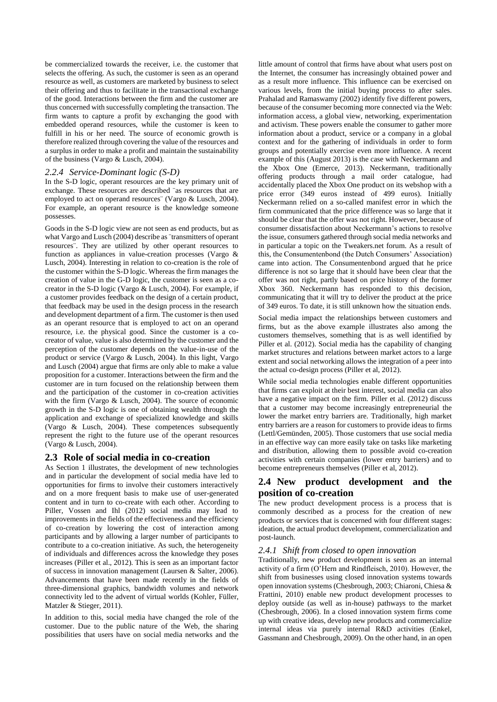be commercialized towards the receiver, i.e. the customer that selects the offering. As such, the customer is seen as an operand resource as well, as customers are marketed by business to select their offering and thus to facilitate in the transactional exchange of the good. Interactions between the firm and the customer are thus concerned with successfully completing the transaction. The firm wants to capture a profit by exchanging the good with embedded operand resources, while the customer is keen to fulfill in his or her need. The source of economic growth is therefore realized through covering the value of the resources and a surplus in order to make a profit and maintain the sustainability of the business (Vargo & Lusch, 2004).

#### *2.2.4 Service-Dominant logic (S-D)*

In the S-D logic, operant resources are the key primary unit of exchange. These resources are described ¨as resources that are employed to act on operand resources¨ (Vargo & Lusch, 2004). For example, an operant resource is the knowledge someone possesses.

Goods in the S-D logic view are not seen as end products, but as what Vargo and Lusch (2004) describe as "transmitters of operant resources¨. They are utilized by other operant resources to function as appliances in value-creation processes (Vargo & Lusch, 2004). Interesting in relation to co-creation is the role of the customer within the S-D logic. Whereas the firm manages the creation of value in the G-D logic, the customer is seen as a cocreator in the S-D logic (Vargo & Lusch, 2004). For example, if a customer provides feedback on the design of a certain product, that feedback may be used in the design process in the research and development department of a firm. The customer is then used as an operant resource that is employed to act on an operand resource, i.e. the physical good. Since the customer is a cocreator of value, value is also determined by the customer and the perception of the customer depends on the value-in-use of the product or service (Vargo & Lusch, 2004). In this light, Vargo and Lusch (2004) argue that firms are only able to make a value proposition for a customer. Interactions between the firm and the customer are in turn focused on the relationship between them and the participation of the customer in co-creation activities with the firm (Vargo & Lusch, 2004). The source of economic growth in the S-D logic is one of obtaining wealth through the application and exchange of specialized knowledge and skills (Vargo & Lusch, 2004). These competences subsequently represent the right to the future use of the operant resources (Vargo & Lusch, 2004).

#### **2.3 Role of social media in co-creation**

As Section 1 illustrates, the development of new technologies and in particular the development of social media have led to opportunities for firms to involve their customers interactively and on a more frequent basis to make use of user-generated content and in turn to co-create with each other. According to Piller, Vossen and Ihl (2012) social media may lead to improvements in the fields of the effectiveness and the efficiency of co-creation by lowering the cost of interaction among participants and by allowing a larger number of participants to contribute to a co-creation initiative. As such, the heterogeneity of individuals and differences across the knowledge they poses increases (Piller et al., 2012). This is seen as an important factor of success in innovation management (Laursen & Salter, 2006). Advancements that have been made recently in the fields of three-dimensional graphics, bandwidth volumes and network connectivity led to the advent of virtual worlds (Kohler, Füller, Matzler & Stieger, 2011).

In addition to this, social media have changed the role of the customer. Due to the public nature of the Web, the sharing possibilities that users have on social media networks and the

little amount of control that firms have about what users post on the Internet, the consumer has increasingly obtained power and as a result more influence. This influence can be exercised on various levels, from the initial buying process to after sales. Prahalad and Ramaswamy (2002) identify five different powers, because of the consumer becoming more connected via the Web: information access, a global view, networking, experimentation and activism. These powers enable the consumer to gather more information about a product, service or a company in a global context and for the gathering of individuals in order to form groups and potentially exercise even more influence. A recent example of this (August 2013) is the case with Neckermann and the Xbox One (Emerce, 2013). Neckermann, traditionally offering products through a mail order catalogue, had accidentally placed the Xbox One product on its webshop with a price error (349 euros instead of 499 euros). Initially Neckermann relied on a so-called manifest error in which the firm communicated that the price difference was so large that it should be clear that the offer was not right. However, because of consumer dissatisfaction about Neckermann's actions to resolve the issue, consumers gathered through social media networks and in particular a topic on the Tweakers.net forum. As a result of this, the Consumentenbond (the Dutch Consumers' Association) came into action. The Consumentenbond argued that he price difference is not so large that it should have been clear that the offer was not right, partly based on price history of the former Xbox 360. Neckermann has responded to this decision, communicating that it will try to deliver the product at the price of 349 euros. To date, it is still unknown how the situation ends.

Social media impact the relationships between customers and firms, but as the above example illustrates also among the customers themselves, something that is as well identified by Piller et al. (2012). Social media has the capability of changing market structures and relations between market actors to a large extent and social networking allows the integration of a peer into the actual co-design process (Piller et al, 2012).

While social media technologies enable different opportunities that firms can exploit at their best interest, social media can also have a negative impact on the firm. Piller et al. (2012) discuss that a customer may become increasingly entrepreneurial the lower the market entry barriers are. Traditionally, high market entry barriers are a reason for customers to provide ideas to firms (Lettl/Gemünden, 2005). Those customers that use social media in an effective way can more easily take on tasks like marketing and distribution, allowing them to possible avoid co-creation activities with certain companies (lower entry barriers) and to become entrepreneurs themselves (Piller et al, 2012).

## **2.4 New product development and the position of co-creation**

The new product development process is a process that is commonly described as a process for the creation of new products or services that is concerned with four different stages: ideation, the actual product development, commercialization and post-launch.

#### *2.4.1 Shift from closed to open innovation*

Traditionally, new product development is seen as an internal activity of a firm (O'Hern and Rindfleisch, 2010). However, the shift from businesses using closed innovation systems towards open innovation systems (Chesbrough, 2003; Chiaroni, Chiesa & Frattini, 2010) enable new product development processes to deploy outside (as well as in-house) pathways to the market (Chesbrough, 2006). In a closed innovation system firms come up with creative ideas, develop new products and commercialize internal ideas via purely internal R&D activities (Enkel, Gassmann and Chesbrough, 2009). On the other hand, in an open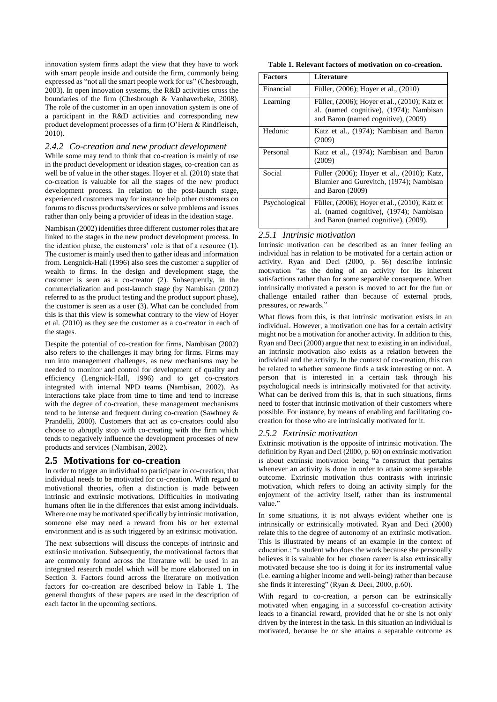innovation system firms adapt the view that they have to work with smart people inside and outside the firm, commonly being expressed as "not all the smart people work for us" (Chesbrough, 2003). In open innovation systems, the R&D activities cross the boundaries of the firm (Chesbrough & Vanhaverbeke, 2008). The role of the customer in an open innovation system is one of a participant in the R&D activities and corresponding new product development processes of a firm (O'Hern & Rindfleisch, 2010).

#### *2.4.2 Co-creation and new product development*

While some may tend to think that co-creation is mainly of use in the product development or ideation stages, co-creation can as well be of value in the other stages. Hoyer et al. (2010) state that co-creation is valuable for all the stages of the new product development process. In relation to the post-launch stage, experienced customers may for instance help other customers on forums to discuss products/services or solve problems and issues rather than only being a provider of ideas in the ideation stage.

Nambisan (2002) identifies three different customer roles that are linked to the stages in the new product development process. In the ideation phase, the customers' role is that of a resource (1). The customer is mainly used then to gather ideas and information from. Lengnick-Hall (1996) also sees the customer a supplier of wealth to firms. In the design and development stage, the customer is seen as a co-creator (2). Subsequently, in the commercialization and post-launch stage (by Nambisan (2002) referred to as the product testing and the product support phase), the customer is seen as a user (3). What can be concluded from this is that this view is somewhat contrary to the view of Hoyer et al. (2010) as they see the customer as a co-creator in each of the stages.

Despite the potential of co-creation for firms, Nambisan (2002) also refers to the challenges it may bring for firms. Firms may run into management challenges, as new mechanisms may be needed to monitor and control for development of quality and efficiency (Lengnick-Hall, 1996) and to get co-creators integrated with internal NPD teams (Nambisan, 2002). As interactions take place from time to time and tend to increase with the degree of co-creation, these management mechanisms tend to be intense and frequent during co-creation (Sawhney & Prandelli, 2000). Customers that act as co-creators could also choose to abruptly stop with co-creating with the firm which tends to negatively influence the development processes of new products and services (Nambisan, 2002).

#### **2.5 Motivations for co-creation**

In order to trigger an individual to participate in co-creation, that individual needs to be motivated for co-creation. With regard to motivational theories, often a distinction is made between intrinsic and extrinsic motivations. Difficulties in motivating humans often lie in the differences that exist among individuals. Where one may be motivated specifically by intrinsic motivation, someone else may need a reward from his or her external environment and is as such triggered by an extrinsic motivation.

The next subsections will discuss the concepts of intrinsic and extrinsic motivation. Subsequently, the motivational factors that are commonly found across the literature will be used in an integrated research model which will be more elaborated on in Section 3. Factors found across the literature on motivation factors for co-creation are described below in Table 1. The general thoughts of these papers are used in the description of each factor in the upcoming sections.

**Table 1. Relevant factors of motivation on co-creation.**

| <b>Factors</b> | Literature                                                                                                                       |
|----------------|----------------------------------------------------------------------------------------------------------------------------------|
| Financial      | Füller, (2006); Hoyer et al., (2010)                                                                                             |
| Learning       | Füller, (2006); Hoyer et al., (2010); Katz et<br>al. (named cognitive), (1974); Nambisan<br>and Baron (named cognitive), (2009)  |
| Hedonic        | Katz et al., (1974); Nambisan and Baron<br>(2009)                                                                                |
| Personal       | Katz et al., (1974); Nambisan and Baron<br>(2009)                                                                                |
| Social         | Füller (2006); Hoyer et al., (2010); Katz,<br>Blumler and Gurevitch, (1974); Nambisan<br>and Baron $(2009)$                      |
| Psychological  | Füller, (2006); Hoyer et al., (2010); Katz et<br>al. (named cognitive), (1974); Nambisan<br>and Baron (named cognitive), (2009). |

### *2.5.1 Intrinsic motivation*

Intrinsic motivation can be described as an inner feeling an individual has in relation to be motivated for a certain action or activity. Ryan and Deci (2000, p. 56) describe intrinsic motivation "as the doing of an activity for its inherent satisfactions rather than for some separable consequence. When intrinsically motivated a person is moved to act for the fun or challenge entailed rather than because of external prods, pressures, or rewards."

What flows from this, is that intrinsic motivation exists in an individual. However, a motivation one has for a certain activity might not be a motivation for another activity. In addition to this, Ryan and Deci (2000) argue that next to existing in an individual, an intrinsic motivation also exists as a relation between the individual and the activity. In the context of co-creation, this can be related to whether someone finds a task interesting or not. A person that is interested in a certain task through his psychological needs is intrinsically motivated for that activity. What can be derived from this is, that in such situations, firms need to foster that intrinsic motivation of their customers where possible. For instance, by means of enabling and facilitating cocreation for those who are intrinsically motivated for it.

#### *2.5.2 Extrinsic motivation*

Extrinsic motivation is the opposite of intrinsic motivation. The definition by Ryan and Deci (2000, p. 60) on extrinsic motivation is about extrinsic motivation being "a construct that pertains whenever an activity is done in order to attain some separable outcome. Extrinsic motivation thus contrasts with intrinsic motivation, which refers to doing an activity simply for the enjoyment of the activity itself, rather than its instrumental value."

In some situations, it is not always evident whether one is intrinsically or extrinsically motivated. Ryan and Deci (2000) relate this to the degree of autonomy of an extrinsic motivation. This is illustrated by means of an example in the context of education.: "a student who does the work because she personally believes it is valuable for her chosen career is also extrinsically motivated because she too is doing it for its instrumental value (i.e. earning a higher income and well-being) rather than because she finds it interesting" (Ryan & Deci, 2000, p.60).

With regard to co-creation, a person can be extrinsically motivated when engaging in a successful co-creation activity leads to a financial reward, provided that he or she is not only driven by the interest in the task. In this situation an individual is motivated, because he or she attains a separable outcome as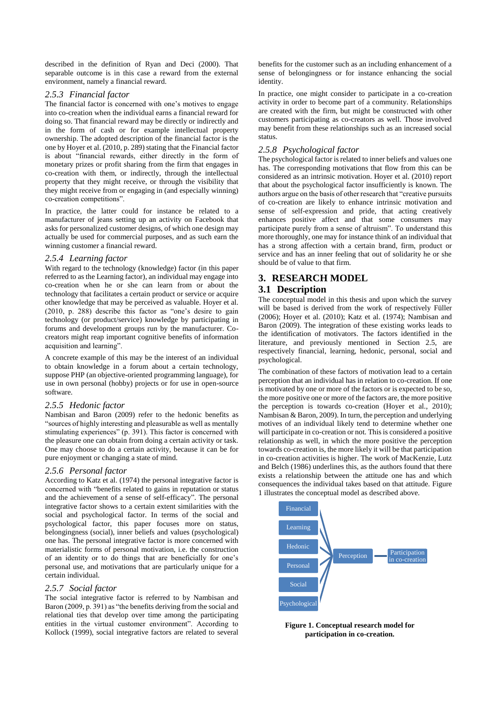described in the definition of Ryan and Deci (2000). That separable outcome is in this case a reward from the external environment, namely a financial reward.

#### *2.5.3 Financial factor*

The financial factor is concerned with one's motives to engage into co-creation when the individual earns a financial reward for doing so. That financial reward may be directly or indirectly and in the form of cash or for example intellectual property ownership. The adopted description of the financial factor is the one by Hoyer et al. (2010, p. 289) stating that the Financial factor is about "financial rewards, either directly in the form of monetary prizes or profit sharing from the firm that engages in co-creation with them, or indirectly, through the intellectual property that they might receive, or through the visibility that they might receive from or engaging in (and especially winning) co-creation competitions".

In practice, the latter could for instance be related to a manufacturer of jeans setting up an activity on Facebook that asks for personalized customer designs, of which one design may actually be used for commercial purposes, and as such earn the winning customer a financial reward.

### *2.5.4 Learning factor*

With regard to the technology (knowledge) factor (in this paper referred to as the Learning factor), an individual may engage into co-creation when he or she can learn from or about the technology that facilitates a certain product or service or acquire other knowledge that may be perceived as valuable. Hoyer et al. (2010, p. 288) describe this factor as "one's desire to gain technology (or product/service) knowledge by participating in forums and development groups run by the manufacturer. Cocreators might reap important cognitive benefits of information acquisition and learning".

A concrete example of this may be the interest of an individual to obtain knowledge in a forum about a certain technology, suppose PHP (an objective-oriented programming language), for use in own personal (hobby) projects or for use in open-source software.

#### *2.5.5 Hedonic factor*

Nambisan and Baron (2009) refer to the hedonic benefits as "sources of highly interesting and pleasurable as well as mentally stimulating experiences" (p. 391). This factor is concerned with the pleasure one can obtain from doing a certain activity or task. One may choose to do a certain activity, because it can be for pure enjoyment or changing a state of mind.

#### *2.5.6 Personal factor*

According to Katz et al. (1974) the personal integrative factor is concerned with "benefits related to gains in reputation or status and the achievement of a sense of self-efficacy". The personal integrative factor shows to a certain extent similarities with the social and psychological factor. In terms of the social and psychological factor, this paper focuses more on status, belongingness (social), inner beliefs and values (psychological) one has. The personal integrative factor is more concerned with materialistic forms of personal motivation, i.e. the construction of an identity or to do things that are beneficially for one's personal use, and motivations that are particularly unique for a certain individual.

#### *2.5.7 Social factor*

The social integrative factor is referred to by Nambisan and Baron (2009, p. 391) as "the benefits deriving from the social and relational ties that develop over time among the participating entities in the virtual customer environment". According to Kollock (1999), social integrative factors are related to several

benefits for the customer such as an including enhancement of a sense of belongingness or for instance enhancing the social identity.

In practice, one might consider to participate in a co-creation activity in order to become part of a community. Relationships are created with the firm, but might be constructed with other customers participating as co-creators as well. Those involved may benefit from these relationships such as an increased social status.

### *2.5.8 Psychological factor*

The psychological factor is related to inner beliefs and values one has. The corresponding motivations that flow from this can be considered as an intrinsic motivation. Hoyer et al. (2010) report that about the psychological factor insufficiently is known. The authors argue on the basis of other research that "creative pursuits of co-creation are likely to enhance intrinsic motivation and sense of self-expression and pride, that acting creatively enhances positive affect and that some consumers may participate purely from a sense of altruism". To understand this more thoroughly, one may for instance think of an individual that has a strong affection with a certain brand, firm, product or service and has an inner feeling that out of solidarity he or she should be of value to that firm.

## **3. RESEARCH MODEL**

### **3.1 Description**

The conceptual model in this thesis and upon which the survey will be based is derived from the work of respectively Füller (2006); Hoyer et al. (2010); Katz et al. (1974); Nambisan and Baron (2009). The integration of these existing works leads to the identification of motivators. The factors identified in the literature, and previously mentioned in Section 2.5, are respectively financial, learning, hedonic, personal, social and psychological.

The combination of these factors of motivation lead to a certain perception that an individual has in relation to co-creation. If one is motivated by one or more of the factors or is expected to be so, the more positive one or more of the factors are, the more positive the perception is towards co-creation (Hoyer et al., 2010); Nambisan & Baron, 2009). In turn, the perception and underlying motives of an individual likely tend to determine whether one will participate in co-creation or not. This is considered a positive relationship as well, in which the more positive the perception towards co-creation is, the more likely it will be that participation in co-creation activities is higher. The work of MacKenzie, Lutz and Belch (1986) underlines this, as the authors found that there exists a relationship between the attitude one has and which consequences the individual takes based on that attitude. Figure 1 illustrates the conceptual model as described above.



**Figure 1. Conceptual research model for participation in co-creation.**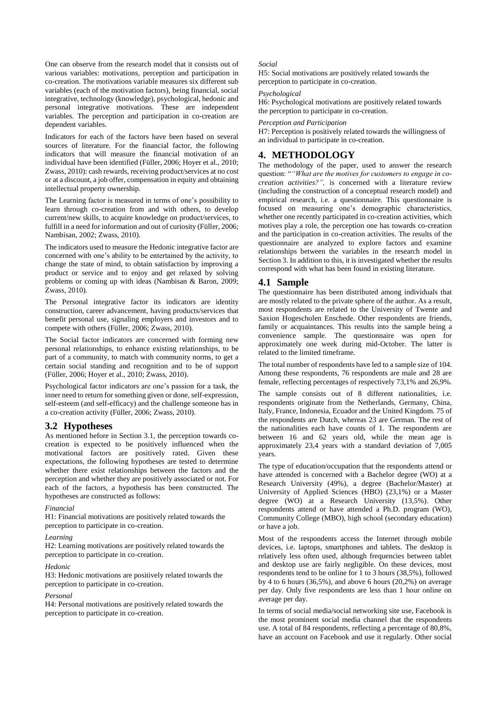One can observe from the research model that it consists out of various variables: motivations, perception and participation in co-creation. The motivations variable measures six different sub variables (each of the motivation factors), being financial, social integrative, technology (knowledge), psychological, hedonic and personal integrative motivations. These are independent variables. The perception and participation in co-creation are dependent variables.

Indicators for each of the factors have been based on several sources of literature. For the financial factor, the following indicators that will measure the financial motivation of an individual have been identified (Füller, 2006; Hoyer et al., 2010; Zwass, 2010): cash rewards, receiving product/services at no cost or at a discount, a job offer, compensation in equity and obtaining intellectual property ownership.

The Learning factor is measured in terms of one's possibility to learn through co-creation from and with others, to develop current/new skills, to acquire knowledge on product/services, to fulfill in a need for information and out of curiosity (Füller, 2006; Nambisan, 2002; Zwass, 2010).

The indicators used to measure the Hedonic integrative factor are concerned with one's ability to be entertained by the activity, to change the state of mind, to obtain satisfaction by improving a product or service and to enjoy and get relaxed by solving problems or coming up with ideas (Nambisan & Baron, 2009; Zwass, 2010).

The Personal integrative factor its indicators are identity construction, career advancement, having products/services that benefit personal use, signaling employers and investors and to compete with others (Füller, 2006; Zwass, 2010).

The Social factor indicators are concerned with forming new personal relationships, to enhance existing relationships, to be part of a community, to match with community norms, to get a certain social standing and recognition and to be of support (Füller, 2006; Hoyer et al., 2010; Zwass, 2010).

Psychological factor indicators are one's passion for a task, the inner need to return for something given or done, self-expression, self-esteem (and self-efficacy) and the challenge someone has in a co-creation activity (Füller, 2006; Zwass, 2010).

### **3.2 Hypotheses**

As mentioned before in Section 3.1, the perception towards cocreation is expected to be positively influenced when the motivational factors are positively rated. Given these expectations, the following hypotheses are tested to determine whether there exist relationships between the factors and the perception and whether they are positively associated or not. For each of the factors, a hypothesis has been constructed. The hypotheses are constructed as follows:

#### *Financial*

H1: Financial motivations are positively related towards the perception to participate in co-creation.

#### *Learning*

H2: Learning motivations are positively related towards the perception to participate in co-creation.

#### *Hedonic*

H3: Hedonic motivations are positively related towards the perception to participate in co-creation.

#### *Personal*

H4: Personal motivations are positively related towards the perception to participate in co-creation.

#### *Social*

H5: Social motivations are positively related towards the perception to participate in co-creation.

#### *Psychological*

H6: Psychological motivations are positively related towards the perception to participate in co-creation.

#### *Perception and Participation*

H7: Perception is positively related towards the willingness of an individual to participate in co-creation.

### **4. METHODOLOGY**

The methodology of the paper, used to answer the research question: "*"What are the motives for customers to engage in cocreation activities?",* is concerned with a literature review (including the construction of a conceptual research model) and empirical research, i.e. a questionnaire. This questionnaire is focused on measuring one's demographic characteristics, whether one recently participated in co-creation activities, which motives play a role, the perception one has towards co-creation and the participation in co-creation activities. The results of the questionnaire are analyzed to explore factors and examine relationships between the variables in the research model in Section 3. In addition to this, it is investigated whether the results correspond with what has been found in existing literature.

#### **4.1 Sample**

The questionnaire has been distributed among individuals that are mostly related to the private sphere of the author. As a result, most respondents are related to the University of Twente and Saxion Hogescholen Enschede. Other respondents are friends, family or acquaintances. This results into the sample being a convenience sample. The questionnaire was open for approximately one week during mid-October. The latter is related to the limited timeframe.

The total number of respondents have led to a sample size of 104. Among these respondents, 76 respondents are male and 28 are female, reflecting percentages of respectively 73,1% and 26,9%.

The sample consists out of 8 different nationalities, i.e. respondents originate from the Netherlands, Germany, China, Italy, France, Indonesia, Ecuador and the United Kingdom. 75 of the respondents are Dutch, whereas 23 are German. The rest of the nationalities each have counts of 1. The respondents are between 16 and 62 years old, while the mean age is approximately 23,4 years with a standard deviation of 7,005 years.

The type of education/occupation that the respondents attend or have attended is concerned with a Bachelor degree (WO) at a Research University (49%), a degree (Bachelor/Master) at University of Applied Sciences (HBO) (23,1%) or a Master degree (WO) at a Research University (13,5%). Other respondents attend or have attended a Ph.D. program (WO), Community College (MBO), high school (secondary education) or have a job.

Most of the respondents access the Internet through mobile devices, i.e. laptops, smartphones and tablets. The desktop is relatively less often used, although frequencies between tablet and desktop use are fairly negligible. On these devices, most respondents tend to be online for 1 to 3 hours (38,5%), followed by 4 to 6 hours (36,5%), and above 6 hours (20,2%) on average per day. Only five respondents are less than 1 hour online on average per day.

In terms of social media/social networking site use, Facebook is the most prominent social media channel that the respondents use. A total of 84 respondents, reflecting a percentage of 80,8%, have an account on Facebook and use it regularly. Other social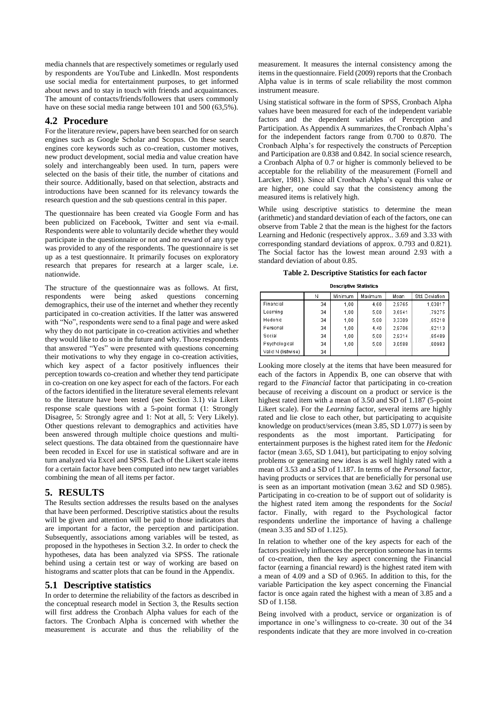media channels that are respectively sometimes or regularly used by respondents are YouTube and LinkedIn. Most respondents use social media for entertainment purposes, to get informed about news and to stay in touch with friends and acquaintances. The amount of contacts/friends/followers that users commonly have on these social media range between 101 and 500 (63.5%).

### **4.2 Procedure**

For the literature review, papers have been searched for on search engines such as Google Scholar and Scopus. On these search engines core keywords such as co-creation, customer motives, new product development, social media and value creation have solely and interchangeably been used. In turn, papers were selected on the basis of their title, the number of citations and their source. Additionally, based on that selection, abstracts and introductions have been scanned for its relevancy towards the research question and the sub questions central in this paper.

The questionnaire has been created via Google Form and has been publicized on Facebook, Twitter and sent via e-mail. Respondents were able to voluntarily decide whether they would participate in the questionnaire or not and no reward of any type was provided to any of the respondents. The questionnaire is set up as a test questionnaire. It primarily focuses on exploratory research that prepares for research at a larger scale, i.e. nationwide.

The structure of the questionnaire was as follows. At first, respondents were being asked questions concerning demographics, their use of the internet and whether they recently participated in co-creation activities. If the latter was answered with "No", respondents were send to a final page and were asked why they do not participate in co-creation activities and whether they would like to do so in the future and why. Those respondents that answered "Yes" were presented with questions concerning their motivations to why they engage in co-creation activities, which key aspect of a factor positively influences their perception towards co-creation and whether they tend participate in co-creation on one key aspect for each of the factors. For each of the factors identified in the literature several elements relevant to the literature have been tested (see Section 3.1) via Likert response scale questions with a 5-point format (1: Strongly Disagree, 5: Strongly agree and 1: Not at all, 5: Very Likely). Other questions relevant to demographics and activities have been answered through multiple choice questions and multiselect questions. The data obtained from the questionnaire have been recoded in Excel for use in statistical software and are in turn analyzed via Excel and SPSS. Each of the Likert scale items for a certain factor have been computed into new target variables combining the mean of all items per factor.

## **5. RESULTS**

The Results section addresses the results based on the analyses that have been performed. Descriptive statistics about the results will be given and attention will be paid to those indicators that are important for a factor, the perception and participation. Subsequently, associations among variables will be tested, as proposed in the hypotheses in Section 3.2. In order to check the hypotheses, data has been analyzed via SPSS. The rationale behind using a certain test or way of working are based on histograms and scatter plots that can be found in the Appendix.

### **5.1 Descriptive statistics**

In order to determine the reliability of the factors as described in the conceptual research model in Section 3, the Results section will first address the Cronbach Alpha values for each of the factors. The Cronbach Alpha is concerned with whether the measurement is accurate and thus the reliability of the

measurement. It measures the internal consistency among the items in the questionnaire. Field (2009) reports that the Cronbach Alpha value is in terms of scale reliability the most common instrument measure.

Using statistical software in the form of SPSS, Cronbach Alpha values have been measured for each of the independent variable factors and the dependent variables of Perception and Participation. As Appendix A summarizes, the Cronbach Alpha's for the independent factors range from 0.700 to 0.870. The Cronbach Alpha's for respectively the constructs of Perception and Participation are 0.838 and 0.842. In social science research, a Cronbach Alpha of 0.7 or higher is commonly believed to be acceptable for the reliability of the measurement (Fornell and Larcker, 1981). Since all Cronbach Alpha's equal this value or are higher, one could say that the consistency among the measured items is relatively high.

While using descriptive statistics to determine the mean (arithmetic) and standard deviation of each of the factors, one can observe from Table 2 that the mean is the highest for the factors Learning and Hedonic (respectively approx.. 3.69 and 3.33 with corresponding standard deviations of approx. 0.793 and 0.821). The Social factor has the lowest mean around 2.93 with a standard deviation of about 0.85.

**Table 2. Descriptive Statistics for each factor**

| <b>Descriptive Statistics</b> |    |         |         |        |                |  |  |
|-------------------------------|----|---------|---------|--------|----------------|--|--|
|                               | Ν  | Minimum | Maximum | Mean   | Std. Deviation |  |  |
| Financial                     | 34 | 1.00    | 4.60    | 2.9765 | 1,03017        |  |  |
| Learning                      | 34 | 1,00    | 5,00    | 3.6941 | .79275         |  |  |
| Hedonic                       | 34 | 1.00    | 5.00    | 3,3309 | .85218         |  |  |
| Personal                      | 34 | 1.00    | 4.40    | 2.9706 | .82113         |  |  |
| Social                        | 34 | 1,00    | 5,00    | 2,9314 | .85489         |  |  |
| Psychological                 | 34 | 1.00    | 5,00    | 3.0588 | .80983         |  |  |
| Valid N (listwise)            | 34 |         |         |        |                |  |  |

Looking more closely at the items that have been measured for each of the factors in Appendix B, one can observe that with regard to the *Financial* factor that participating in co-creation because of receiving a discount on a product or service is the highest rated item with a mean of 3.50 and SD of 1.187 (5-point Likert scale). For the *Learning* factor, several items are highly rated and lie close to each other, but participating to acquisite knowledge on product/services (mean 3.85, SD 1.077) is seen by respondents as the most important. Participating for entertainment purposes is the highest rated item for the *Hedonic* factor (mean 3.65, SD 1.041), but participating to enjoy solving problems or generating new ideas is as well highly rated with a mean of 3.53 and a SD of 1.187. In terms of the *Personal* factor, having products or services that are beneficially for personal use is seen as an important motivation (mean 3.62 and SD 0.985). Participating in co-creation to be of support out of solidarity is the highest rated item among the respondents for the *Social* factor. Finally, with regard to the Psychological factor respondents underline the importance of having a challenge (mean 3.35 and SD of 1.125).

In relation to whether one of the key aspects for each of the factors positively influences the perception someone has in terms of co-creation, then the key aspect concerning the Financial factor (earning a financial reward) is the highest rated item with a mean of 4.09 and a SD of 0.965. In addition to this, for the variable Participation the key aspect concerning the Financial factor is once again rated the highest with a mean of 3.85 and a SD of 1.158.

Being involved with a product, service or organization is of importance in one's willingness to co-create. 30 out of the 34 respondents indicate that they are more involved in co-creation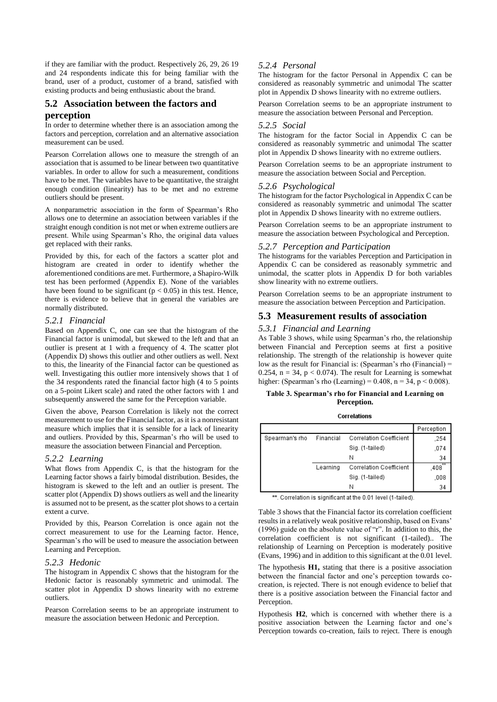if they are familiar with the product. Respectively 26, 29, 26 19 and 24 respondents indicate this for being familiar with the brand, user of a product, customer of a brand, satisfied with existing products and being enthusiastic about the brand.

## **5.2 Association between the factors and**

### **perception**

In order to determine whether there is an association among the factors and perception, correlation and an alternative association measurement can be used.

Pearson Correlation allows one to measure the strength of an association that is assumed to be linear between two quantitative variables. In order to allow for such a measurement, conditions have to be met. The variables have to be quantitative, the straight enough condition (linearity) has to be met and no extreme outliers should be present.

A nonparametric association in the form of Spearman's Rho allows one to determine an association between variables if the straight enough condition is not met or when extreme outliers are present. While using Spearman's Rho, the original data values get replaced with their ranks.

Provided by this, for each of the factors a scatter plot and histogram are created in order to identify whether the aforementioned conditions are met. Furthermore, a Shapiro-Wilk test has been performed (Appendix E). None of the variables have been found to be significant ( $p < 0.05$ ) in this test. Hence, there is evidence to believe that in general the variables are normally distributed.

#### *5.2.1 Financial*

Based on Appendix C, one can see that the histogram of the Financial factor is unimodal, but skewed to the left and that an outlier is present at 1 with a frequency of 4. The scatter plot (Appendix D) shows this outlier and other outliers as well. Next to this, the linearity of the Financial factor can be questioned as well. Investigating this outlier more intensively shows that 1 of the 34 respondents rated the financial factor high (4 to 5 points on a 5-point Likert scale) and rated the other factors with 1 and subsequently answered the same for the Perception variable.

Given the above, Pearson Correlation is likely not the correct measurement to use for the Financial factor, as it is a nonresistant measure which implies that it is sensible for a lack of linearity and outliers. Provided by this, Spearman's rho will be used to measure the association between Financial and Perception.

#### *5.2.2 Learning*

What flows from Appendix C, is that the histogram for the Learning factor shows a fairly bimodal distribution. Besides, the histogram is skewed to the left and an outlier is present. The scatter plot (Appendix D) shows outliers as well and the linearity is assumed not to be present, as the scatter plot shows to a certain extent a curve.

Provided by this, Pearson Correlation is once again not the correct measurement to use for the Learning factor. Hence, Spearman's rho will be used to measure the association between Learning and Perception.

#### *5.2.3 Hedonic*

The histogram in Appendix C shows that the histogram for the Hedonic factor is reasonably symmetric and unimodal. The scatter plot in Appendix D shows linearity with no extreme outliers.

Pearson Correlation seems to be an appropriate instrument to measure the association between Hedonic and Perception.

### *5.2.4 Personal*

The histogram for the factor Personal in Appendix C can be considered as reasonably symmetric and unimodal The scatter plot in Appendix D shows linearity with no extreme outliers.

Pearson Correlation seems to be an appropriate instrument to measure the association between Personal and Perception.

#### *5.2.5 Social*

The histogram for the factor Social in Appendix C can be considered as reasonably symmetric and unimodal The scatter plot in Appendix D shows linearity with no extreme outliers.

Pearson Correlation seems to be an appropriate instrument to measure the association between Social and Perception.

#### *5.2.6 Psychological*

The histogram for the factor Psychological in Appendix C can be considered as reasonably symmetric and unimodal The scatter plot in Appendix D shows linearity with no extreme outliers.

Pearson Correlation seems to be an appropriate instrument to measure the association between Psychological and Perception.

### *5.2.7 Perception and Participation*

The histograms for the variables Perception and Participation in Appendix C can be considered as reasonably symmetric and unimodal, the scatter plots in Appendix D for both variables show linearity with no extreme outliers.

Pearson Correlation seems to be an appropriate instrument to measure the association between Perception and Participation.

### **5.3 Measurement results of association**

#### *5.3.1 Financial and Learning*

As Table 3 shows, while using Spearman's rho, the relationship between Financial and Perception seems at first a positive relationship. The strength of the relationship is however quite low as the result for Financial is: (Spearman's rho (Financial) = 0.254,  $n = 34$ ,  $p < 0.074$ ). The result for Learning is somewhat higher: (Spearman's rho (Learning) =  $0.408$ , n =  $34$ , p <  $0.008$ ).

#### **Table 3. Spearman's rho for Financial and Learning on Perception.**

| Correlations |
|--------------|
|              |

|                |           |                                | Perception |
|----------------|-----------|--------------------------------|------------|
| Spearman's rho | Financial | <b>Correlation Coefficient</b> | ,254       |
|                |           | Sig. (1-tailed)                | .074       |
|                |           | Ν                              | 34         |
|                | Learning  | Correlation Coefficient        | 天天<br>.408 |
|                |           | Sig. (1-tailed)                | ,008       |
|                |           | Ν                              | 34         |

\*\*. Correlation is significant at the 0.01 level (1-tailed).

Table 3 shows that the Financial factor its correlation coefficient results in a relatively weak positive relationship, based on Evans' (1996) guide on the absolute value of "r". In addition to this, the correlation coefficient is not significant (1-tailed).. The relationship of Learning on Perception is moderately positive (Evans, 1996) and in addition to this significant at the 0.01 level.

The hypothesis **H1,** stating that there is a positive association between the financial factor and one's perception towards cocreation, is rejected. There is not enough evidence to belief that there is a positive association between the Financial factor and Perception.

Hypothesis **H2**, which is concerned with whether there is a positive association between the Learning factor and one's Perception towards co-creation, fails to reject. There is enough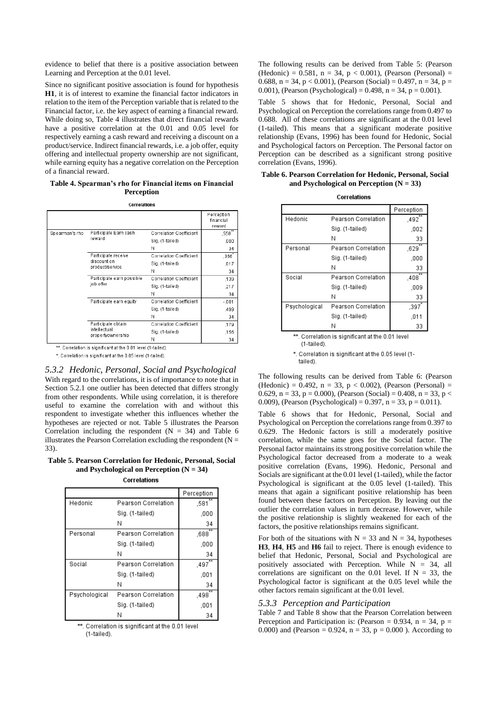evidence to belief that there is a positive association between Learning and Perception at the 0.01 level.

Since no significant positive association is found for hypothesis **H1**, it is of interest to examine the financial factor indicators in relation to the item of the Perception variable that is related to the Financial factor, i.e. the key aspect of earning a financial reward. While doing so, Table 4 illustrates that direct financial rewards have a positive correlation at the 0.01 and 0.05 level for respectively earning a cash reward and receiving a discount on a product/service. Indirect financial rewards, i.e. a job offer, equity offering and intellectual property ownership are not significant, while earning equity has a negative correlation on the Perception of a financial reward.

**Table 4. Spearman's rho for Financial items on Financial Perception**

Correlations

|                |                                        |                         | Perception<br>financial<br>reward |
|----------------|----------------------------------------|-------------------------|-----------------------------------|
| Spearman's rho | Participate Earn cash                  | Correlation Coefficient | ,558                              |
|                | reward                                 | Sig. (1-tailed)         | ,000                              |
|                |                                        | Ν                       | 34                                |
|                | Participate receive                    | Correlation Coefficient | ,366                              |
|                | discount on<br>product/service         | Sig. (1-tailed)         | .017                              |
|                |                                        | N                       | 34                                |
|                | Participate earn possible<br>job offer | Correlation Coefficient | ,139                              |
|                |                                        | Sig. (1-tailed)         | .217                              |
|                |                                        | Ν                       | 34                                |
|                | Participate earn equity                | Correlation Coefficient | $-.001$                           |
|                |                                        | Sig. (1-tailed)         | ,499                              |
|                |                                        | Ν                       | 34                                |
|                | Participate obtain                     | Correlation Coefficient | ,179                              |
|                | intellectual                           | Sig. (1-tailed)         | .156                              |
|                | propertyownership                      | Ν                       | 34                                |

\*\* Correlation is significant at the 0.01 level (1-tailed)

\*. Correlation is significant at the 0.05 level (1-tailed).

*5.3.2 Hedonic, Personal, Social and Psychological* With regard to the correlations, it is of importance to note that in Section 5.2.1 one outlier has been detected that differs strongly from other respondents. While using correlation, it is therefore useful to examine the correlation with and without this respondent to investigate whether this influences whether the hypotheses are rejected or not. Table 5 illustrates the Pearson Correlation including the respondent  $(N = 34)$  and Table 6 illustrates the Pearson Correlation excluding the respondent ( $N =$ 33).

**Table 5. Pearson Correlation for Hedonic, Personal, Social and Psychological on Perception (N = 34)**

Correlations

|               |                     | Perception |  |
|---------------|---------------------|------------|--|
| Hedonic       | Pearson Correlation | ,581       |  |
|               | Sig. (1-tailed)     | .000       |  |
|               | Ν                   | 34         |  |
| Personal      | Pearson Correlation | .688       |  |
|               | Sig. (1-tailed)     | ,000       |  |
|               | Ν                   | 34         |  |
| Social        | Pearson Correlation | .497       |  |
|               | Sig. (1-tailed)     | ,001       |  |
|               | Ν                   | 34         |  |
| Psychological | Pearson Correlation | .498       |  |
|               | Sig. (1-tailed)     | .001       |  |
|               |                     | 34         |  |

\*\*. Correlation is significant at the 0.01 level (1-tailed).

The following results can be derived from Table 5: (Pearson (Hedonic) = 0.581,  $n = 34$ ,  $p < 0.001$ ), (Pearson (Personal) = 0.688, n = 34, p < 0.001), (Pearson (Social) = 0.497, n = 34, p = 0.001), (Pearson (Psychological) = 0.498,  $n = 34$ ,  $p = 0.001$ ).

Table 5 shows that for Hedonic, Personal, Social and Psychological on Perception the correlations range from 0.497 to 0.688. All of these correlations are significant at the 0.01 level (1-tailed). This means that a significant moderate positive relationship (Evans, 1996) has been found for Hedonic, Social and Psychological factors on Perception. The Personal factor on Perception can be described as a significant strong positive correlation (Evans, 1996).

|  | Table 6. Pearson Correlation for Hedonic, Personal, Social |  |  |
|--|------------------------------------------------------------|--|--|
|  | and Psychological on Perception $(N = 33)$                 |  |  |

Correlations

|               |                     | Perception |
|---------------|---------------------|------------|
| Hedonic       | Pearson Correlation | .492       |
|               | Sig. (1-tailed)     | .002       |
|               | Ν                   | 33         |
| Personal      | Pearson Correlation | .629       |
|               | Sig. (1-tailed)     | .000       |
|               | Ν                   | 33         |
| Social        | Pearson Correlation | .408       |
|               | Sig. (1-tailed)     | .009       |
|               | Ν                   | 33         |
| Psychological | Pearson Correlation | .397       |
|               | Sig. (1-tailed)     | .011       |
|               | Ν                   | 33         |

\*\*. Correlation is significant at the 0.01 level

(1-tailed)

\*. Correlation is significant at the 0.05 level (1-

tailed)

The following results can be derived from Table 6: (Pearson (Hedonic) = 0.492,  $n = 33$ ,  $p < 0.002$ ), (Pearson (Personal) = 0.629,  $n = 33$ ,  $p = 0.000$ ), (Pearson (Social) = 0.408,  $n = 33$ ,  $p <$ 0.009), (Pearson (Psychological) =  $0.397$ , n =  $33$ , p =  $0.011$ ).

Table 6 shows that for Hedonic, Personal, Social and Psychological on Perception the correlations range from 0.397 to 0.629. The Hedonic factors is still a moderately positive correlation, while the same goes for the Social factor. The Personal factor maintains its strong positive correlation while the Psychological factor decreased from a moderate to a weak positive correlation (Evans, 1996). Hedonic, Personal and Socials are significant at the 0.01 level (1-tailed), while the factor Psychological is significant at the 0.05 level (1-tailed). This means that again a significant positive relationship has been found between these factors on Perception. By leaving out the outlier the correlation values in turn decrease. However, while the positive relationship is slightly weakened for each of the factors, the positive relationships remains significant.

For both of the situations with  $N = 33$  and  $N = 34$ , hypotheses **H3**, **H4**, **H5** and **H6** fail to reject. There is enough evidence to belief that Hedonic, Personal, Social and Psychological are positively associated with Perception. While  $N = 34$ , all correlations are significant on the 0.01 level. If  $N = 33$ , the Psychological factor is significant at the 0.05 level while the other factors remain significant at the 0.01 level.

#### *5.3.3 Perception and Participation*

Table 7 and Table 8 show that the Pearson Correlation between Perception and Participation is: (Pearson = 0.934, n = 34, p = 0.000) and (Pearson = 0.924,  $n = 33$ ,  $p = 0.000$ ). According to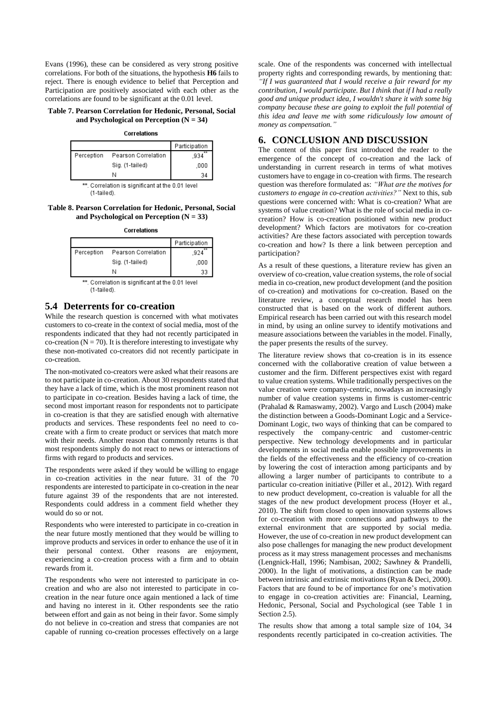Evans (1996), these can be considered as very strong positive correlations. For both of the situations, the hypothesis **H6** fails to reject. There is enough evidence to belief that Perception and Participation are positively associated with each other as the correlations are found to be significant at the 0.01 level.

#### **Table 7. Pearson Correlation for Hedonic, Personal, Social and Psychological on Perception (N = 34)**

Correlations

|            |                     | Participation |
|------------|---------------------|---------------|
| Perception | Pearson Correlation | 934           |
|            | Sig. (1-tailed)     | .000          |
|            |                     | 34            |

\*\*. Correlation is significant at the 0.01 level (1-tailed)

**Table 8. Pearson Correlation for Hedonic, Personal, Social and Psychological on Perception (N = 33)**

Correlations

|            |                     | Participation |
|------------|---------------------|---------------|
| Perception | Pearson Correlation | 924           |
|            | Sig. (1-tailed)     | .000          |
|            | Ν                   | 33            |

\*\*. Correlation is significant at the 0.01 level  $(1-tailed)$ 

### **5.4 Deterrents for co-creation**

While the research question is concerned with what motivates customers to co-create in the context of social media, most of the respondents indicated that they had not recently participated in co-creation ( $N = 70$ ). It is therefore interesting to investigate why these non-motivated co-creators did not recently participate in co-creation.

The non-motivated co-creators were asked what their reasons are to not participate in co-creation. About 30 respondents stated that they have a lack of time, which is the most prominent reason not to participate in co-creation. Besides having a lack of time, the second most important reason for respondents not to participate in co-creation is that they are satisfied enough with alternative products and services. These respondents feel no need to cocreate with a firm to create product or services that match more with their needs. Another reason that commonly returns is that most respondents simply do not react to news or interactions of firms with regard to products and services.

The respondents were asked if they would be willing to engage in co-creation activities in the near future. 31 of the 70 respondents are interested to participate in co-creation in the near future against 39 of the respondents that are not interested. Respondents could address in a comment field whether they would do so or not.

Respondents who were interested to participate in co-creation in the near future mostly mentioned that they would be willing to improve products and services in order to enhance the use of it in their personal context. Other reasons are enjoyment, experiencing a co-creation process with a firm and to obtain rewards from it.

The respondents who were not interested to participate in cocreation and who are also not interested to participate in cocreation in the near future once again mentioned a lack of time and having no interest in it. Other respondents see the ratio between effort and gain as not being in their favor. Some simply do not believe in co-creation and stress that companies are not capable of running co-creation processes effectively on a large

scale. One of the respondents was concerned with intellectual property rights and corresponding rewards, by mentioning that: *"If I was guaranteed that I would receive a fair reward for my contribution, I would participate. But I think that if I had a really good and unique product idea, I wouldn't share it with some big company because these are going to exploit the full potential of this idea and leave me with some ridiculously low amount of money as compensation."*

## **6. CONCLUSION AND DISCUSSION**

The content of this paper first introduced the reader to the emergence of the concept of co-creation and the lack of understanding in current research in terms of what motives customers have to engage in co-creation with firms. The research question was therefore formulated as: *"What are the motives for customers to engage in co-creation activities?"* Next to this, sub questions were concerned with: What is co-creation? What are systems of value creation? What is the role of social media in cocreation? How is co-creation positioned within new product development? Which factors are motivators for co-creation activities? Are these factors associated with perception towards co-creation and how? Is there a link between perception and participation?

As a result of these questions, a literature review has given an overview of co-creation, value creation systems, the role of social media in co-creation, new product development (and the position of co-creation) and motivations for co-creation. Based on the literature review, a conceptual research model has been constructed that is based on the work of different authors. Empirical research has been carried out with this research model in mind, by using an online survey to identify motivations and measure associations between the variables in the model. Finally, the paper presents the results of the survey.

The literature review shows that co-creation is in its essence concerned with the collaborative creation of value between a customer and the firm. Different perspectives exist with regard to value creation systems. While traditionally perspectives on the value creation were company-centric, nowadays an increasingly number of value creation systems in firms is customer-centric (Prahalad & Ramaswamy, 2002). Vargo and Lusch (2004) make the distinction between a Goods-Dominant Logic and a Service-Dominant Logic, two ways of thinking that can be compared to respectively the company-centric and customer-centric perspective. New technology developments and in particular developments in social media enable possible improvements in the fields of the effectiveness and the efficiency of co-creation by lowering the cost of interaction among participants and by allowing a larger number of participants to contribute to a particular co-creation initiative (Piller et al., 2012). With regard to new product development, co-creation is valuable for all the stages of the new product development process (Hoyer et al., 2010). The shift from closed to open innovation systems allows for co-creation with more connections and pathways to the external environment that are supported by social media. However, the use of co-creation in new product development can also pose challenges for managing the new product development process as it may stress management processes and mechanisms (Lengnick-Hall, 1996; Nambisan, 2002; Sawhney & Prandelli, 2000). In the light of motivations, a distinction can be made between intrinsic and extrinsic motivations (Ryan & Deci, 2000). Factors that are found to be of importance for one's motivation to engage in co-creation activities are: Financial, Learning, Hedonic, Personal, Social and Psychological (see Table 1 in Section 2.5).

The results show that among a total sample size of 104, 34 respondents recently participated in co-creation activities. The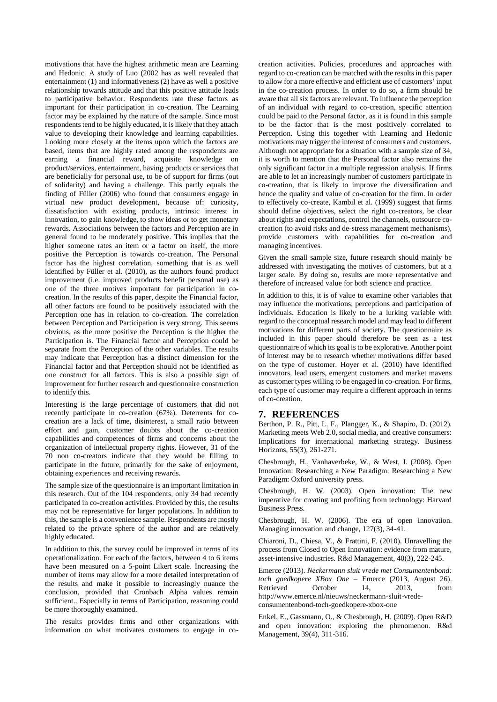motivations that have the highest arithmetic mean are Learning and Hedonic. A study of Luo (2002 has as well revealed that entertainment (1) and informativeness (2) have as well a positive relationship towards attitude and that this positive attitude leads to participative behavior. Respondents rate these factors as important for their participation in co-creation. The Learning factor may be explained by the nature of the sample. Since most respondents tend to be highly educated, it is likely that they attach value to developing their knowledge and learning capabilities. Looking more closely at the items upon which the factors are based, items that are highly rated among the respondents are earning a financial reward, acquisite knowledge on product/services, entertainment, having products or services that are beneficially for personal use, to be of support for firms (out of solidarity) and having a challenge. This partly equals the finding of Füller (2006) who found that consumers engage in virtual new product development, because of: curiosity, dissatisfaction with existing products, intrinsic interest in innovation, to gain knowledge, to show ideas or to get monetary rewards. Associations between the factors and Perception are in general found to be moderately positive. This implies that the higher someone rates an item or a factor on itself, the more positive the Perception is towards co-creation. The Personal factor has the highest correlation, something that is as well identified by Füller et al. (2010), as the authors found product improvement (i.e. improved products benefit personal use) as one of the three motives important for participation in cocreation. In the results of this paper, despite the Financial factor, all other factors are found to be positively associated with the Perception one has in relation to co-creation. The correlation between Perception and Participation is very strong. This seems obvious, as the more positive the Perception is the higher the Participation is. The Financial factor and Perception could be separate from the Perception of the other variables. The results may indicate that Perception has a distinct dimension for the Financial factor and that Perception should not be identified as one construct for all factors. This is also a possible sign of improvement for further research and questionnaire construction to identify this.

Interesting is the large percentage of customers that did not recently participate in co-creation (67%). Deterrents for cocreation are a lack of time, disinterest, a small ratio between effort and gain, customer doubts about the co-creation capabilities and competences of firms and concerns about the organization of intellectual property rights. However, 31 of the 70 non co-creators indicate that they would be filling to participate in the future, primarily for the sake of enjoyment, obtaining experiences and receiving rewards.

The sample size of the questionnaire is an important limitation in this research. Out of the 104 respondents, only 34 had recently participated in co-creation activities. Provided by this, the results may not be representative for larger populations. In addition to this, the sample is a convenience sample. Respondents are mostly related to the private sphere of the author and are relatively highly educated.

In addition to this, the survey could be improved in terms of its operationalization. For each of the factors, between 4 to 6 items have been measured on a 5-point Likert scale. Increasing the number of items may allow for a more detailed interpretation of the results and make it possible to increasingly nuance the conclusion, provided that Cronbach Alpha values remain sufficient.. Especially in terms of Participation, reasoning could be more thoroughly examined.

The results provides firms and other organizations with information on what motivates customers to engage in co-

creation activities. Policies, procedures and approaches with regard to co-creation can be matched with the results in this paper to allow for a more effective and efficient use of customers' input in the co-creation process. In order to do so, a firm should be aware that all six factors are relevant. To influence the perception of an individual with regard to co-creation, specific attention could be paid to the Personal factor, as it is found in this sample to be the factor that is the most positively correlated to Perception. Using this together with Learning and Hedonic motivations may trigger the interest of consumers and customers. Although not appropriate for a situation with a sample size of 34, it is worth to mention that the Personal factor also remains the only significant factor in a multiple regression analysis. If firms are able to let an increasingly number of customers participate in co-creation, that is likely to improve the diversification and hence the quality and value of co-creation for the firm. In order to effectively co-create, Kambil et al. (1999) suggest that firms should define objectives, select the right co-creators, be clear about rights and expectations, control the channels, outsource cocreation (to avoid risks and de-stress management mechanisms), provide customers with capabilities for co-creation and managing incentives.

Given the small sample size, future research should mainly be addressed with investigating the motives of customers, but at a larger scale. By doing so, results are more representative and therefore of increased value for both science and practice.

In addition to this, it is of value to examine other variables that may influence the motivations, perceptions and participation of individuals. Education is likely to be a lurking variable with regard to the conceptual research model and may lead to different motivations for different parts of society. The questionnaire as included in this paper should therefore be seen as a test questionnaire of which its goal is to be explorative. Another point of interest may be to research whether motivations differ based on the type of customer. Hoyer et al. (2010) have identified innovators, lead users, emergent customers and market mavens as customer types willing to be engaged in co-creation. For firms, each type of customer may require a different approach in terms of co-creation.

### **7. REFERENCES**

Berthon, P. R., Pitt, L. F., Plangger, K., & Shapiro, D. (2012). Marketing meets Web 2.0, social media, and creative consumers: Implications for international marketing strategy. Business Horizons, 55(3), 261-271.

Chesbrough, H., Vanhaverbeke, W., & West, J. (2008). Open Innovation: Researching a New Paradigm: Researching a New Paradigm: Oxford university press.

Chesbrough, H. W. (2003). Open innovation: The new imperative for creating and profiting from technology: Harvard Business Press.

Chesbrough, H. W. (2006). The era of open innovation. Managing innovation and change, 127(3), 34-41.

Chiaroni, D., Chiesa, V., & Frattini, F. (2010). Unravelling the process from Closed to Open Innovation: evidence from mature, asset-intensive industries. R&d Management, 40(3), 222-245.

Emerce (2013). *Neckermann sluit vrede met Consumentenbond: toch goedkopere XBox One* – Emerce (2013, August 26). Retrieved October 14, 2013, from http://www.emerce.nl/nieuws/neckermann-sluit-vredeconsumentenbond-toch-goedkopere-xbox-one

Enkel, E., Gassmann, O., & Chesbrough, H. (2009). Open R&D and open innovation: exploring the phenomenon. R&d Management, 39(4), 311-316.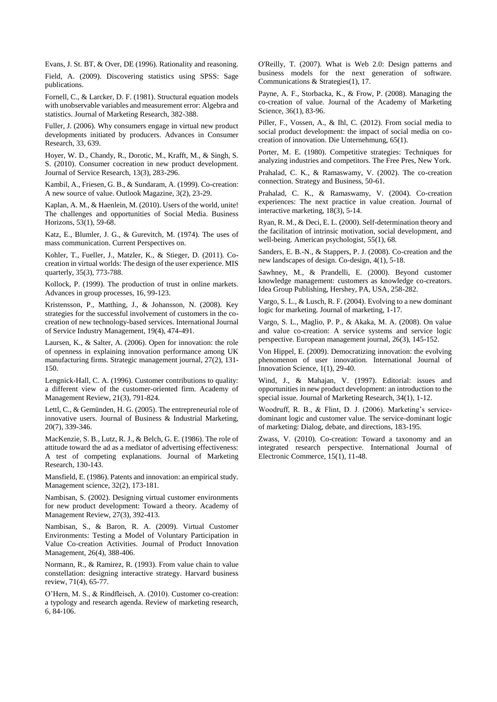Evans, J. St. BT, & Over, DE (1996). Rationality and reasoning.

Field, A. (2009). Discovering statistics using SPSS: Sage publications.

Fornell, C., & Larcker, D. F. (1981). Structural equation models with unobservable variables and measurement error: Algebra and statistics. Journal of Marketing Research, 382-388.

Fuller, J. (2006). Why consumers engage in virtual new product developments initiated by producers. Advances in Consumer Research, 33, 639.

Hoyer, W. D., Chandy, R., Dorotic, M., Krafft, M., & Singh, S. S. (2010). Consumer cocreation in new product development. Journal of Service Research, 13(3), 283-296.

Kambil, A., Friesen, G. B., & Sundaram, A. (1999). Co-creation: A new source of value. Outlook Magazine, 3(2), 23-29.

Kaplan, A. M., & Haenlein, M. (2010). Users of the world, unite! The challenges and opportunities of Social Media. Business Horizons, 53(1), 59-68.

Katz, E., Blumler, J. G., & Gurevitch, M. (1974). The uses of mass communication. Current Perspectives on.

Kohler, T., Fueller, J., Matzler, K., & Stieger, D. (2011). Cocreation in virtual worlds: The design of the user experience. MIS quarterly, 35(3), 773-788.

Kollock, P. (1999). The production of trust in online markets. Advances in group processes, 16, 99-123.

Kristensson, P., Matthing, J., & Johansson, N. (2008). Key strategies for the successful involvement of customers in the cocreation of new technology-based services. International Journal of Service Industry Management, 19(4), 474-491.

Laursen, K., & Salter, A. (2006). Open for innovation: the role of openness in explaining innovation performance among UK manufacturing firms. Strategic management journal, 27(2), 131- 150.

Lengnick-Hall, C. A. (1996). Customer contributions to quality: a different view of the customer-oriented firm. Academy of Management Review, 21(3), 791-824.

Lettl, C., & Gemünden, H. G. (2005). The entrepreneurial role of innovative users. Journal of Business & Industrial Marketing, 20(7), 339-346.

MacKenzie, S. B., Lutz, R. J., & Belch, G. E. (1986). The role of attitude toward the ad as a mediator of advertising effectiveness: A test of competing explanations. Journal of Marketing Research, 130-143.

Mansfield, E. (1986). Patents and innovation: an empirical study. Management science, 32(2), 173-181.

Nambisan, S. (2002). Designing virtual customer environments for new product development: Toward a theory. Academy of Management Review, 27(3), 392-413.

Nambisan, S., & Baron, R. A. (2009). Virtual Customer Environments: Testing a Model of Voluntary Participation in Value Co‐creation Activities. Journal of Product Innovation Management, 26(4), 388-406.

Normann, R., & Ramirez, R. (1993). From value chain to value constellation: designing interactive strategy. Harvard business review, 71(4), 65-77.

O'Hern, M. S., & Rindfleisch, A. (2010). Customer co-creation: a typology and research agenda. Review of marketing research, 6, 84-106.

O'Reilly, T. (2007). What is Web 2.0: Design patterns and business models for the next generation of software. Communications & Strategies(1), 17.

Payne, A. F., Storbacka, K., & Frow, P. (2008). Managing the co-creation of value. Journal of the Academy of Marketing Science, 36(1), 83-96.

Piller, F., Vossen, A., & Ihl, C. (2012). From social media to social product development: the impact of social media on cocreation of innovation. Die Unternehmung, 65(1).

Porter, M. E. (1980). Competitive strategies: Techniques for analyzing industries and competitors. The Free Pres, New York.

Prahalad, C. K., & Ramaswamy, V. (2002). The co-creation connection. Strategy and Business, 50-61.

Prahalad, C. K., & Ramaswamy, V. (2004). Co-creation experiences: The next practice in value creation. Journal of interactive marketing, 18(3), 5-14.

Ryan, R. M., & Deci, E. L. (2000). Self-determination theory and the facilitation of intrinsic motivation, social development, and well-being. American psychologist, 55(1), 68.

Sanders, E. B.-N., & Stappers, P. J. (2008). Co-creation and the new landscapes of design. Co-design, 4(1), 5-18.

Sawhney, M., & Prandelli, E. (2000). Beyond customer knowledge management: customers as knowledge co-creators. Idea Group Publishing, Hershey, PA, USA, 258-282.

Vargo, S. L., & Lusch, R. F. (2004). Evolving to a new dominant logic for marketing. Journal of marketing, 1-17.

Vargo, S. L., Maglio, P. P., & Akaka, M. A. (2008). On value and value co-creation: A service systems and service logic perspective. European management journal, 26(3), 145-152.

Von Hippel, E. (2009). Democratizing innovation: the evolving phenomenon of user innovation. International Journal of Innovation Science, 1(1), 29-40.

Wind, J., & Mahajan, V. (1997). Editorial: issues and opportunities in new product development: an introduction to the special issue. Journal of Marketing Research, 34(1), 1-12.

Woodruff, R. B., & Flint, D. J. (2006). Marketing's servicedominant logic and customer value. The service-dominant logic of marketing: Dialog, debate, and directions, 183-195.

Zwass, V. (2010). Co-creation: Toward a taxonomy and an integrated research perspective. International Journal of Electronic Commerce, 15(1), 11-48.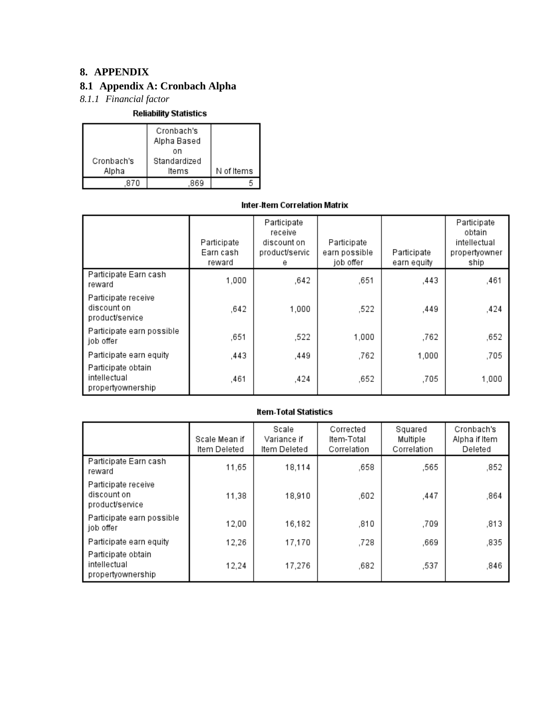## **8. APPENDIX**

## **8.1 Appendix A: Cronbach Alpha**

*8.1.1 Financial factor*

**Reliability Statistics** 

|                     | Cronbach's<br>Alpha Based   |            |
|---------------------|-----------------------------|------------|
| Cronbach's<br>Alpha | on<br>Standardized<br>ltems | N of Items |
|                     |                             |            |

## Inter-Item Correlation Matrix

|                                                         | Participate<br>Earn cash<br>reward | Participate<br>receive<br>discount on<br>product/servic<br>е | Participate<br>earn possible<br>job offer | Participate<br>earn equity | Participate<br>obtain<br>intellectual<br>propertyowner<br>ship |
|---------------------------------------------------------|------------------------------------|--------------------------------------------------------------|-------------------------------------------|----------------------------|----------------------------------------------------------------|
| Participate Earn cash<br>reward                         | 1,000                              | ,642                                                         | ,651                                      | .443                       | ,461                                                           |
| Participate receive<br>discount on<br>product/service   | .642                               | 1,000                                                        | ,522                                      | .449                       | ,424                                                           |
| Participate earn possible<br>job offer                  | ,651                               | ,522                                                         | 1,000                                     | .762                       | ,652                                                           |
| Participate earn equity                                 | ,443                               | ,449                                                         | ,762                                      | 1,000                      | .705                                                           |
| Participate obtain<br>intellectual<br>propertyownership | .461                               | ,424                                                         | .652                                      | .705                       | 1,000                                                          |

|                                                         | Scale Mean if<br>ltem Deleted | Scale<br>Variance if<br>Item Deleted | Corrected<br>Item-Total<br>Correlation | Squared<br>Multiple<br>Correlation | Cronbach's<br>Alpha if Item<br>Deleted |
|---------------------------------------------------------|-------------------------------|--------------------------------------|----------------------------------------|------------------------------------|----------------------------------------|
| Participate Earn cash<br>reward                         | 11,65                         | 18,114                               | .658                                   | ,565                               | ,852                                   |
| Participate receive<br>discount on<br>product/service   | 11,38                         | 18,910                               | ,602                                   | ,447                               | ,864                                   |
| Participate earn possible<br>job offer                  | 12,00                         | 16,182                               | ,810                                   | ,709                               | ,813                                   |
| Participate earn equity                                 | 12,26                         | 17,170                               | ,728                                   | ,669                               | ,835                                   |
| Participate obtain<br>intellectual<br>propertyownership | 12,24                         | 17,276                               | ,682                                   | ,537                               | ,846                                   |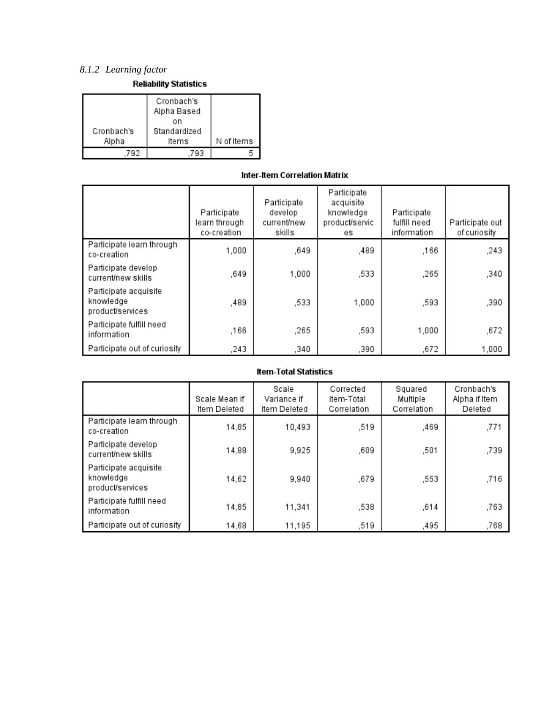## *8.1.2 Learning factor*

| <b>Reliability Statistics</b> |  |
|-------------------------------|--|

| Cronbach's<br>Alpha | Cronbach's<br>Alpha Based<br>on<br>Standardized<br>ltems | N of Items |
|---------------------|----------------------------------------------------------|------------|
|                     | ۹R                                                       |            |

### Inter-Item Correlation Matrix

|                                                        | Participate<br>learn through<br>co-creation | Participate<br>develop<br>current/new<br>skills | Participate<br>acquisite<br>knowledge<br>product/servic<br>es. | Participate<br>fulfill need<br>information | Participate out<br>of curiosity |
|--------------------------------------------------------|---------------------------------------------|-------------------------------------------------|----------------------------------------------------------------|--------------------------------------------|---------------------------------|
| Participate learn through<br>co-creation               | 1,000                                       | ,649                                            | ,489                                                           | ,166                                       | ,243                            |
| Participate develop<br>current/new skills              | .649                                        | 1,000                                           | .533                                                           | .265                                       | ,340                            |
| Participate acquisite<br>knowledge<br>product/services | ,489                                        | ,533                                            | 1,000                                                          | ,593                                       | ,390                            |
| Participate fulfill need<br>information                | .166                                        | ,265                                            | ,593                                                           | 1,000                                      | ,672                            |
| Participate out of curiosity                           | .243                                        | ,340                                            | ,390                                                           | ,672                                       | 1,000                           |

|                                                        | Scale Mean if<br>Item Deleted | Scale<br>Variance if<br>Item Deleted | Corrected<br>ltem-Total<br>Correlation | Squared<br>Multiple<br>Correlation | Cronbach's<br>Alpha if Item<br>Deleted |
|--------------------------------------------------------|-------------------------------|--------------------------------------|----------------------------------------|------------------------------------|----------------------------------------|
| Participate learn through<br>co-creation               | 14,85                         | 10,493                               | ,519                                   | ,469                               | ,771                                   |
| Participate develop<br>current/new skills              | 14,88                         | 9,925                                | .609                                   | .501                               | ,739                                   |
| Participate acquisite<br>knowledge<br>product/services | 14,62                         | 9,940                                | ,679                                   | ,553                               | ,716                                   |
| Participate fulfill need<br>information                | 14,85                         | 11,341                               | ,538                                   | ,614                               | ,763                                   |
| Participate out of curiosity                           | 14,68                         | 11,195                               | ,519                                   | .495                               | ,768                                   |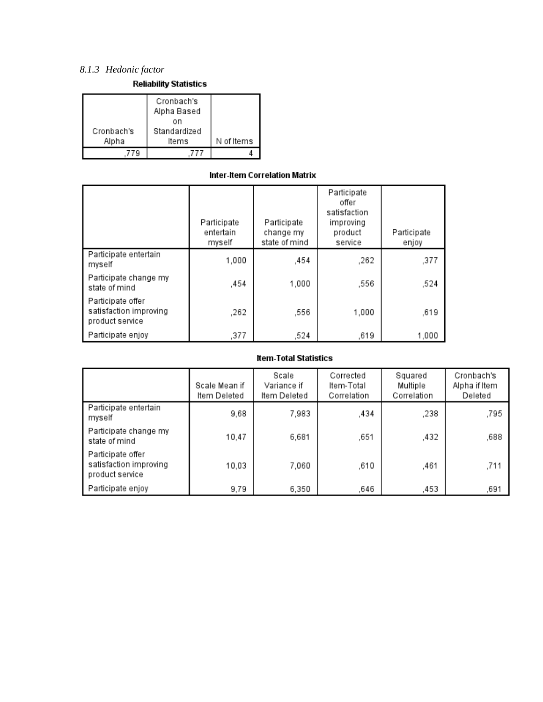## *8.1.3 Hedonic factor*

|                     | Cronbach's<br>Alpha Based   |            |
|---------------------|-----------------------------|------------|
| Cronbach's<br>Alpha | on<br>Standardized<br>ltems | N of Items |
|                     |                             |            |

### Inter-Item Correlation Matrix

|                                                                | Participate<br>entertain<br>myself | Participate<br>change my<br>state of mind | Participate<br>offer<br>satisfaction<br>improving<br>product<br>service | Participate<br>enjoy |
|----------------------------------------------------------------|------------------------------------|-------------------------------------------|-------------------------------------------------------------------------|----------------------|
| Participate entertain<br>myself                                | 1,000                              | .454                                      | .262                                                                    | ,377                 |
| Participate change my<br>state of mind                         | ,454                               | 1,000                                     | ,556                                                                    | ,524                 |
| Participate offer<br>satisfaction improving<br>product service | ,262                               | ,556                                      | 1,000                                                                   | ,619                 |
| Participate enjoy                                              | ,377                               | ,524                                      | ,619                                                                    | 1,000                |

|                                                                | Scale Mean if<br>ltem Deleted | Scale<br>Variance if<br>Item Deleted | Corrected<br>Item-Total<br>Correlation | Squared<br>Multiple<br>Correlation | Cronbach's<br>Alpha if Item<br>Deleted |
|----------------------------------------------------------------|-------------------------------|--------------------------------------|----------------------------------------|------------------------------------|----------------------------------------|
| Participate entertain<br>myself                                | 9,68                          | 7,983                                | .434                                   | .238                               | ,795                                   |
| Participate change my<br>state of mind                         | 10.47                         | 6,681                                | ,651                                   | .432                               | .688                                   |
| Participate offer<br>satisfaction improving<br>product service | 10,03                         | 7,060                                | ,610                                   | ,461                               | ,711                                   |
| Participate enjoy                                              | 9,79                          | 6,350                                | ,646                                   | .453                               | ,691                                   |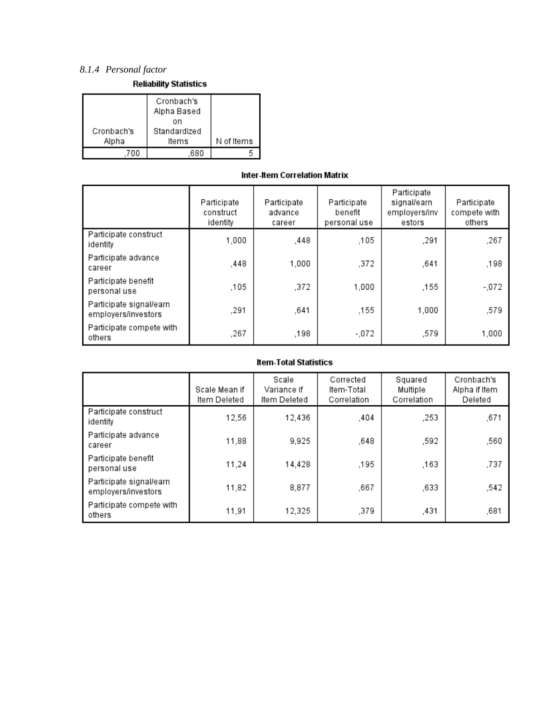## *8.1.4 Personal factor*

| Cronbach's<br>Alpha | Cronbach's<br>Alpha Based<br>on<br>Standardized<br>ltems | N of Items |
|---------------------|----------------------------------------------------------|------------|
|                     |                                                          |            |

### Inter-Item Correlation Matrix

|                                                | Participate<br>construct<br>identity | Participate<br>advance<br>career | Participate<br>benefit<br>personal use | Participate<br>signal/earn<br>employers/inv<br>estors | Participate<br>compete with<br>others |
|------------------------------------------------|--------------------------------------|----------------------------------|----------------------------------------|-------------------------------------------------------|---------------------------------------|
| Participate construct<br>identity              | 1,000                                | ,448                             | .105                                   | ,291                                                  | ,267                                  |
| Participate advance<br>career                  | .448                                 | 1,000                            | .372                                   | ,641                                                  | ,198                                  |
| Participate benefit<br>personal use            | ,105                                 | ,372                             | 1.000                                  | ,155                                                  | -,072                                 |
| Participate signal/earn<br>employers/investors | ,291                                 | ,641                             | .155                                   | 1,000                                                 | ,579                                  |
| Participate compete with<br>others             | ,267                                 | ,198                             | -.072                                  | ,579                                                  | 1,000                                 |

|                                                | Scale Mean if<br>Item Deleted | Scale<br>Variance if<br>Item Deleted | Corrected<br>Item-Total<br>Correlation | Squared<br>Multiple<br>Correlation | Cronbach's<br>Alpha if Item<br>Deleted |
|------------------------------------------------|-------------------------------|--------------------------------------|----------------------------------------|------------------------------------|----------------------------------------|
| Participate construct<br>identity              | 12,56                         | 12,436                               | .404                                   | .253                               | ,671                                   |
| Participate advance<br>career                  | 11,88                         | 9,925                                | ,648                                   | .592                               | ,560                                   |
| Participate benefit<br>personal use            | 11,24                         | 14,428                               | ,195                                   | .163                               | ,737                                   |
| Participate signal/earn<br>employers/investors | 11,82                         | 8,877                                | ,667                                   | ,633                               | ,542                                   |
| Participate compete with<br>others             | 11,91                         | 12,325                               | ,379                                   | ,431                               | ,681                                   |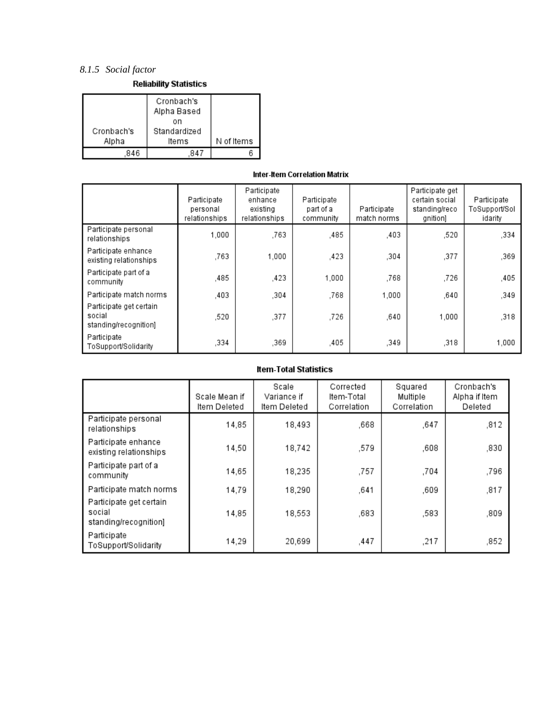## *8.1.5 Social factor*

**Reliability Statistics** 

| Cronbach's<br>Alpha | Cronbach's<br>Alpha Based<br>on<br>Standardized<br>ltems | N of Items |
|---------------------|----------------------------------------------------------|------------|
| 846                 |                                                          |            |

## Inter-Item Correlation Matrix

|                                                            | Participate<br>personal<br>relationships | Participate<br>enhance<br>existing<br>relationships | Participate<br>part of a<br>community | Participate<br>match norms | Participate get<br>certain social<br>standing/reco<br>gnition] | Participate<br>ToSupport/Sol<br>idarity |
|------------------------------------------------------------|------------------------------------------|-----------------------------------------------------|---------------------------------------|----------------------------|----------------------------------------------------------------|-----------------------------------------|
| Participate personal<br>relationships                      | 1.000                                    | .763                                                | .485                                  | ,403                       | ,520                                                           | ,334                                    |
| Participate enhance<br>existing relationships              | .763                                     | 1.000                                               | .423                                  | .304                       | ,377                                                           | ,369                                    |
| Participate part of a<br>community                         | .485                                     | .423                                                | 1,000                                 | .768                       | .726                                                           | ,405                                    |
| Participate match norms                                    | ,403                                     | ,304                                                | .768                                  | 1,000                      | ,640                                                           | ,349                                    |
| Participate get certain<br>social<br>standing/recognition] | .520                                     | ,377                                                | .726                                  | .640                       | 1,000                                                          | ,318                                    |
| Participate<br>ToSupport/Solidarity                        | .334                                     | .369                                                | .405                                  | .349                       | .318                                                           | 1,000                                   |

|                                                            | Scale Mean if<br>Item Deleted | Scale<br>Variance if<br>Item Deleted | Corrected<br>Item-Total<br>Correlation | Squared<br>Multiple<br>Correlation | Cronbach's<br>Alpha if Item<br>Deleted |
|------------------------------------------------------------|-------------------------------|--------------------------------------|----------------------------------------|------------------------------------|----------------------------------------|
| Participate personal<br>relationships                      | 14,85                         | 18,493                               | ,668                                   | ,647                               | ,812                                   |
| Participate enhance<br>existing relationships              | 14,50                         | 18,742                               | ,579                                   | ,608                               | ,830                                   |
| Participate part of a<br>community                         | 14,65                         | 18,235                               | ,757                                   | ,704                               | ,796                                   |
| Participate match norms                                    | 14,79                         | 18,290                               | ,641                                   | ,609                               | ,817                                   |
| Participate get certain<br>social<br>standing/recognition] | 14,85                         | 18,553                               | ,683                                   | ,583                               | ,809                                   |
| Participate<br>ToSupport/Solidarity                        | 14,29                         | 20,699                               | ,447                                   | ,217                               | ,852                                   |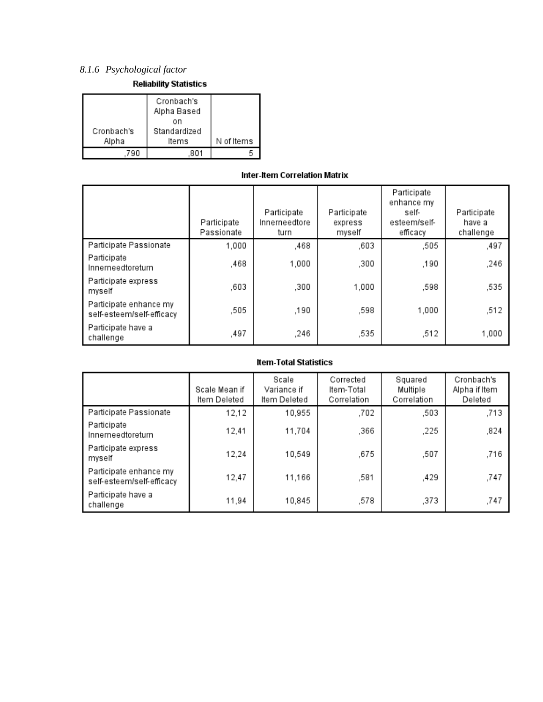## *8.1.6 Psychological factor*

| <b>Reliability Statistics</b> |  |
|-------------------------------|--|
|-------------------------------|--|

|                     | Cronbach's<br>Alpha Based<br>on |            |
|---------------------|---------------------------------|------------|
| Cronbach's<br>Alpha | Standardized<br>ltems           | N of Items |
|                     |                                 |            |

### Inter-Item Correlation Matrix

|                                                     | Participate<br>Passionate | Participate<br>Innerneedtore<br>turn | Participate<br>express<br>myself | Participate<br>enhance my<br>self-<br>esteem/self-<br>efficacy | Participate<br>have a<br>challenge |
|-----------------------------------------------------|---------------------------|--------------------------------------|----------------------------------|----------------------------------------------------------------|------------------------------------|
| Participate Passionate                              | 1,000                     | ,468                                 | ,603                             | ,505                                                           | ,497                               |
| Participate<br>Innerneedtoreturn                    | .468                      | 1,000                                | .300                             | .190                                                           | .246                               |
| Participate express<br>myself                       | ,603                      | ,300                                 | 1,000                            | ,598                                                           | ,535                               |
| Participate enhance my<br>self-esteem/self-efficacy | ,505                      | ,190                                 | ,598                             | 1.000                                                          | ,512                               |
| Participate have a<br>challenge                     | ,497                      | ,246                                 | ,535                             | .512                                                           | 1,000                              |

|                                                     | Scale Mean if<br>Item Deleted | Scale<br>Variance if<br>Item Deleted | Corrected<br>ltem-Total<br>Correlation | Squared<br>Multiple<br>Correlation | Cronbach's<br>Alpha if Item<br>Deleted |
|-----------------------------------------------------|-------------------------------|--------------------------------------|----------------------------------------|------------------------------------|----------------------------------------|
| Participate Passionate                              | 12,12                         | 10,955                               | .702                                   | ,503                               | .713                                   |
| Participate<br>Innerneedtoreturn                    | 12,41                         | 11,704                               | ,366                                   | ,225                               | ,824                                   |
| Participate express<br>myself                       | 12,24                         | 10,549                               | ,675                                   | ,507                               | ,716                                   |
| Participate enhance my<br>self-esteem/self-efficacy | 12,47                         | 11,166                               | ,581                                   | .429                               | ,747                                   |
| Participate have a<br>challenge                     | 11,94                         | 10,845                               | 578.                                   | ,373                               | ,747                                   |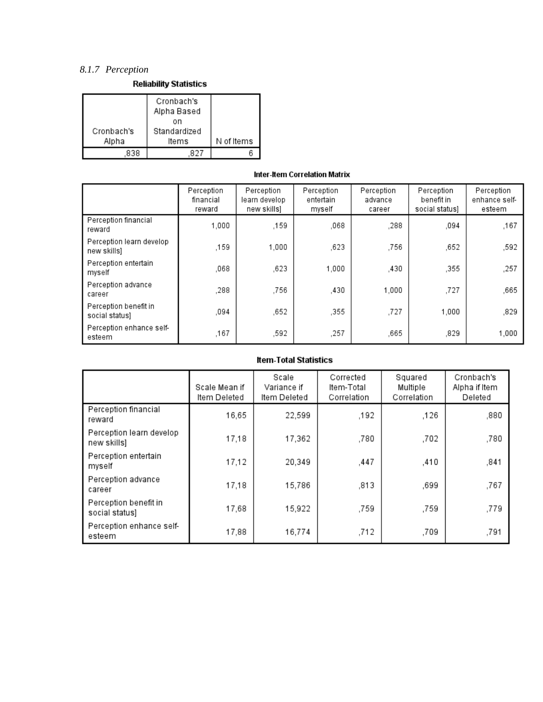## *8.1.7 Perception*

**Reliability Statistics** 

| Cronbach's<br>Alpha | Cronbach's<br>Alpha Based<br>on<br>Standardized<br>ltems | N of Items |
|---------------------|----------------------------------------------------------|------------|
| 838                 |                                                          |            |

## Inter-Item Correlation Matrix

|                                         | Perception<br>financial<br>reward | Perception<br>learn develop<br>new skills] | Perception<br>entertain<br>myself | Perception<br>advance<br>career | Perception<br>benefit in<br>social status) | Perception<br>enhance self-<br>esteem |
|-----------------------------------------|-----------------------------------|--------------------------------------------|-----------------------------------|---------------------------------|--------------------------------------------|---------------------------------------|
| Perception financial<br>reward          | 1.000                             | ,159                                       | .068                              | .288                            | ,094                                       | ,167                                  |
| Perception learn develop<br>new skills) | .159                              | 1.000                                      | .623                              | ,756                            | ,652                                       | ,592                                  |
| Perception entertain<br>myself          | ,068                              | .623                                       | 1,000                             | .430                            | ,355                                       | ,257                                  |
| Perception advance<br>career            | ,288                              | ,756                                       | ,430                              | 1.000                           | ,727                                       | ,665                                  |
| Perception benefit in<br>social status) | ,094                              | ,652                                       | ,355                              | ,727                            | 1,000                                      | ,829                                  |
| Perception enhance self-<br>esteem      | ,167                              | ,592                                       | .257                              | .665                            | ,829                                       | 1,000                                 |

|                                         | Scale Mean if<br>Item Deleted | Scale<br>Variance if<br>Item Deleted | Corrected<br>ltem-Total<br>Correlation | Squared<br>Multiple<br>Correlation | Cronbach's<br>Alpha if Item<br>Deleted |
|-----------------------------------------|-------------------------------|--------------------------------------|----------------------------------------|------------------------------------|----------------------------------------|
| Perception financial<br>reward          | 16,65                         | 22,599                               | ,192                                   | ,126                               | ,880                                   |
| Perception learn develop<br>new skills) | 17,18                         | 17,362                               | .780                                   | .702                               | ,780                                   |
| Perception entertain<br>myself          | 17,12                         | 20,349                               | ,447                                   | ,410                               | ,841                                   |
| Perception advance<br>career            | 17,18                         | 15,786                               | ,813                                   | ,699                               | ,767                                   |
| Perception benefit in<br>social status) | 17,68                         | 15,922                               | ,759                                   | .759                               | ,779                                   |
| Perception enhance self-<br>esteem      | 17,88                         | 16,774                               | .712                                   | .709                               | ,791                                   |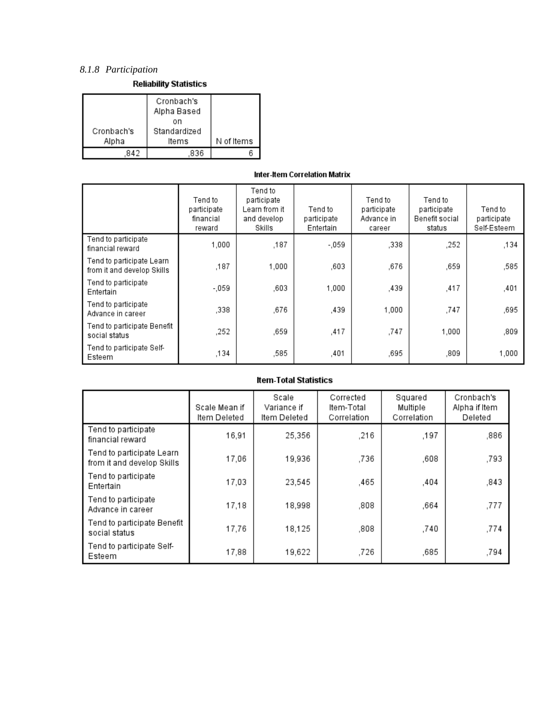## *8.1.8 Participation*

**Reliability Statistics** 

| Cronbach's<br>Alpha | Cronbach's<br>Alpha Based<br>on<br>Standardized<br>ltems | N of Items |
|---------------------|----------------------------------------------------------|------------|
|                     | 836                                                      |            |

### Inter-Item Correlation Matrix

|                                                         | Tend to<br>participate<br>financial<br>reward | Tend to<br>participate<br>Learn from it<br>and develop<br>Skills | Tend to<br>participate<br>Entertain | Tend to<br>participate<br>Advance in<br>career | Tend to<br>participate<br>Benefit social<br>status | Tend to<br>participate<br>Self-Esteem |
|---------------------------------------------------------|-----------------------------------------------|------------------------------------------------------------------|-------------------------------------|------------------------------------------------|----------------------------------------------------|---------------------------------------|
| Tend to participate<br>financial reward                 | 1.000                                         | ,187                                                             | - 059                               | .338                                           | .252                                               | ,134                                  |
| Tend to participate Learn<br>from it and develop Skills | ,187                                          | 1,000                                                            | .603                                | ,676                                           | .659                                               | ,585                                  |
| Tend to participate<br>Entertain                        | $-059$                                        | .603                                                             | 1.000                               | ,439                                           | ,417                                               | ,401                                  |
| Tend to participate<br>Advance in career                | .338                                          | ,676                                                             | ,439                                | 1,000                                          | ,747                                               | ,695                                  |
| Tend to participate Benefit<br>social status            | .252                                          | .659                                                             | ,417                                | .747                                           | 1.000                                              | ,809                                  |
| Tend to participate Self-<br>Esteem                     | ,134                                          | ,585                                                             | ,401                                | .695                                           | ,809                                               | 1,000                                 |

|                                                         | Scale Mean if<br>Item Deleted | Scale<br>Variance if<br>Item Deleted | Corrected<br>Item-Total<br>Correlation | Squared<br>Multiple<br>Correlation | Cronbach's<br>Alpha if Item<br>Deleted |
|---------------------------------------------------------|-------------------------------|--------------------------------------|----------------------------------------|------------------------------------|----------------------------------------|
| Tend to participate<br>financial reward                 | 16,91                         | 25,356                               | .216                                   | .197                               | ,886                                   |
| Tend to participate Learn<br>from it and develop Skills | 17,06                         | 19,936                               | .736                                   | .608                               | ,793                                   |
| Tend to participate<br>Entertain                        | 17,03                         | 23,545                               | ,465                                   | .404                               | ,843                                   |
| Tend to participate<br>Advance in career                | 17,18                         | 18,998                               | ,808                                   | ,664                               | ,777                                   |
| Tend to participate Benefit<br>social status            | 17,76                         | 18,125                               | ,808                                   | .740                               | ,774                                   |
| Tend to participate Self-<br>Esteem                     | 17,88                         | 19,622                               | .726                                   | ,685                               | ,794                                   |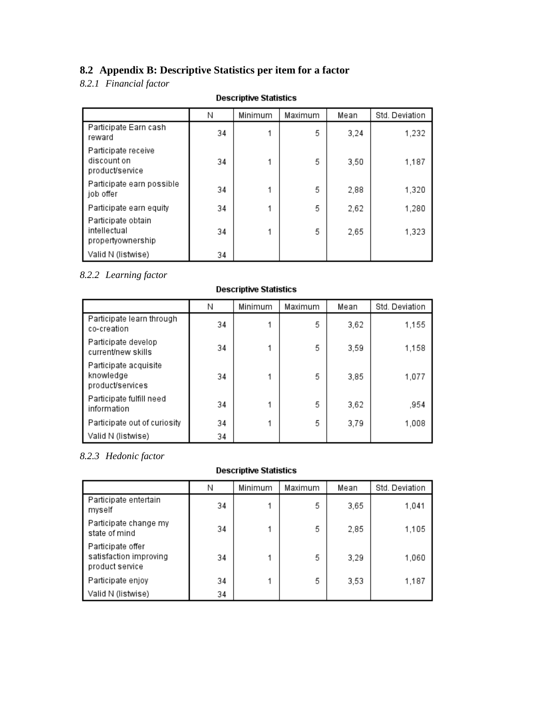## **8.2 Appendix B: Descriptive Statistics per item for a factor**

## *8.2.1 Financial factor*

|                                                         | Ν  | Minimum | Maximum | Mean | Std. Deviation |
|---------------------------------------------------------|----|---------|---------|------|----------------|
| Participate Earn cash<br>reward                         | 34 |         | 5       | 3,24 | 1,232          |
| Participate receive<br>discount on<br>product/service   | 34 |         | 5       | 3,50 | 1,187          |
| Participate earn possible<br>job offer                  | 34 |         | 5       | 2,88 | 1,320          |
| Participate earn equity                                 | 34 |         | 5       | 2,62 | 1,280          |
| Participate obtain<br>intellectual<br>propertyownership | 34 |         | 5       | 2,65 | 1,323          |
| Valid N (listwise)                                      | 34 |         |         |      |                |

## **Descriptive Statistics**

## *8.2.2 Learning factor*

## **Descriptive Statistics**

|                                                        | Ν  | Minimum | Maximum | Mean | Std. Deviation |
|--------------------------------------------------------|----|---------|---------|------|----------------|
| Participate learn through<br>co-creation               | 34 |         | 5       | 3,62 | 1,155          |
| Participate develop<br>current/new skills              | 34 |         | 5       | 3,59 | 1,158          |
| Participate acquisite<br>knowledge<br>product/services | 34 |         | 5       | 3,85 | 1,077          |
| Participate fulfill need<br>information                | 34 |         | 5       | 3,62 | ,954           |
| Participate out of curiosity                           | 34 |         | 5       | 3,79 | 1,008          |
| Valid N (listwise)                                     | 34 |         |         |      |                |

## *8.2.3 Hedonic factor*

## **Descriptive Statistics**

|                                                                | Ν  | Minimum | Maximum | Mean | Std. Deviation |
|----------------------------------------------------------------|----|---------|---------|------|----------------|
| Participate entertain<br>myself                                | 34 |         | 5       | 3,65 | 1,041          |
| Participate change my<br>state of mind                         | 34 |         | 5       | 2,85 | 1,105          |
| Participate offer<br>satisfaction improving<br>product service | 34 |         | 5       | 3,29 | 1,060          |
| Participate enjoy                                              | 34 |         | 5       | 3,53 | 1.187          |
| Valid N (listwise)                                             | 34 |         |         |      |                |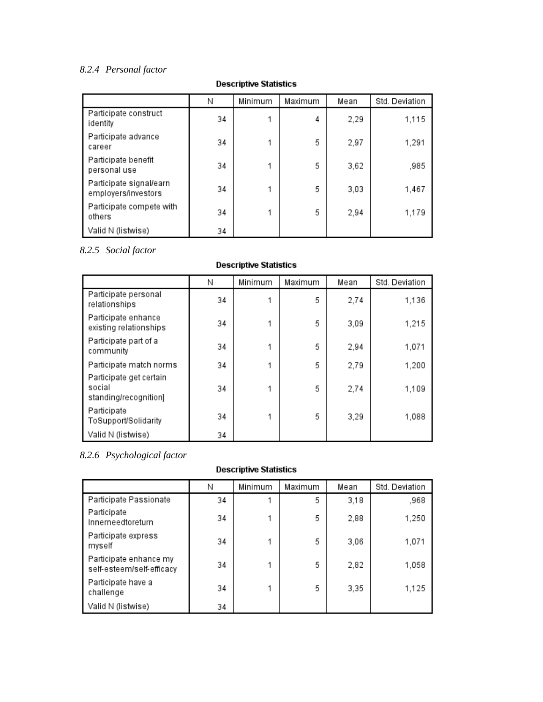## *8.2.4 Personal factor*

#### N Minimum Maximum Mean Std. Deviation Participate construct 34  $\mathbf{1}$  $\overline{4}$ 2,29 1,115 identity Participate advance  $\mathbf{1}$ 5 2,97 1,291 34 career Participate benefit 5 34  $\mathbf{1}$ 3,62 ,985 personal use Participate signal/earn 34  $\mathbf{1}$ 5  $3,03$ 1,467 employers/investors Participate compete with 5 34  $\mathbf{1}$ 2,94 1,179 others Valid N (listwise) 34

**Descriptive Statistics** 

*8.2.5 Social factor*

## **Descriptive Statistics**

|                                                            | Ν  | Minimum | Maximum | Mean | Std. Deviation |
|------------------------------------------------------------|----|---------|---------|------|----------------|
| Participate personal<br>relationships                      | 34 |         | 5       | 2,74 | 1,136          |
| Participate enhance<br>existing relationships              | 34 |         | 5       | 3,09 | 1,215          |
| Participate part of a<br>community                         | 34 |         | 5       | 2,94 | 1,071          |
| Participate match norms                                    | 34 |         | 5       | 2,79 | 1,200          |
| Participate get certain<br>social<br>standing/recognition] | 34 |         | 5       | 2,74 | 1,109          |
| Participate<br>ToSupport/Solidarity                        | 34 |         | 5       | 3,29 | 1,088          |
| Valid N (listwise)                                         | 34 |         |         |      |                |

## *8.2.6 Psychological factor*

## **Descriptive Statistics**

|                                                     | Ν  | Minimum | Maximum | Mean | Std. Deviation |
|-----------------------------------------------------|----|---------|---------|------|----------------|
| Participate Passionate                              | 34 |         | 5       | 3,18 | ,968           |
| Participate<br>Innerneedtoreturn                    | 34 |         | 5       | 2,88 | 1,250          |
| Participate express<br>myself                       | 34 |         | 5       | 3,06 | 1,071          |
| Participate enhance my<br>self-esteem/self-efficacy | 34 |         | 5       | 2,82 | 1,058          |
| Participate have a<br>challenge                     | 34 |         | 5       | 3,35 | 1,125          |
| Valid N (listwise)                                  | 34 |         |         |      |                |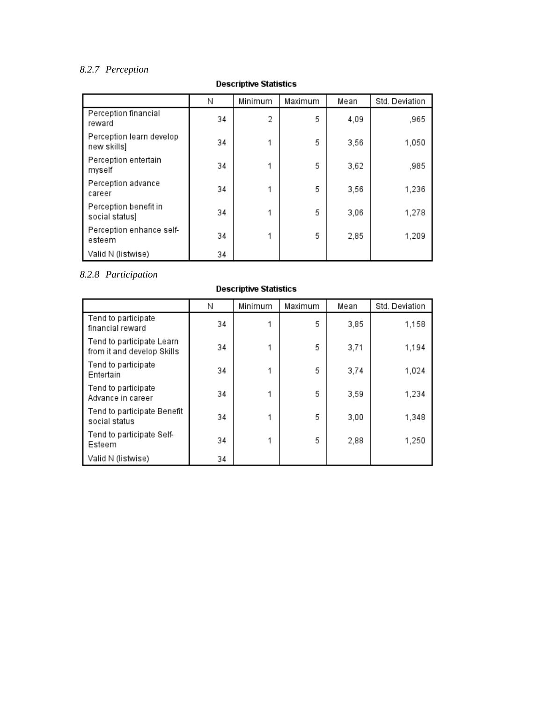## *8.2.7 Perception*

|                                         | Ν  | Minimum | Maximum | Mean | Std. Deviation |
|-----------------------------------------|----|---------|---------|------|----------------|
| Perception financial<br>reward          | 34 | 2       | 5       | 4,09 | ,965           |
| Perception learn develop<br>new skills] | 34 |         | 5       | 3,56 | 1,050          |
| Perception entertain<br>myself          | 34 |         | 5       | 3,62 | ,985           |
| Perception advance<br>career            | 34 |         | 5       | 3,56 | 1,236          |
| Perception benefit in<br>social status) | 34 |         | 5       | 3,06 | 1,278          |
| Perception enhance self-<br>esteem      | 34 |         | 5       | 2,85 | 1,209          |
| Valid N (listwise)                      | 34 |         |         |      |                |

## **Descriptive Statistics**

## *8.2.8 Participation*

| <b>Descriptive Statistics</b>                           |    |         |         |      |                |  |  |  |
|---------------------------------------------------------|----|---------|---------|------|----------------|--|--|--|
|                                                         | Ν  | Minimum | Maximum | Mean | Std. Deviation |  |  |  |
| Tend to participate<br>financial reward                 | 34 |         | 5       | 3,85 | 1,158          |  |  |  |
| Tend to participate Learn<br>from it and develop Skills | 34 |         | 5       | 3,71 | 1,194          |  |  |  |
| Tend to participate<br>Entertain                        | 34 |         | 5       | 3,74 | 1,024          |  |  |  |
| Tend to participate<br>Advance in career                | 34 |         | 5       | 3,59 | 1,234          |  |  |  |
| Tend to participate Benefit<br>social status            | 34 |         | 5       | 3,00 | 1,348          |  |  |  |
| Tend to participate Self-<br>Esteem                     | 34 |         | 5       | 2,88 | 1,250          |  |  |  |
| Valid N (listwise)                                      | 34 |         |         |      |                |  |  |  |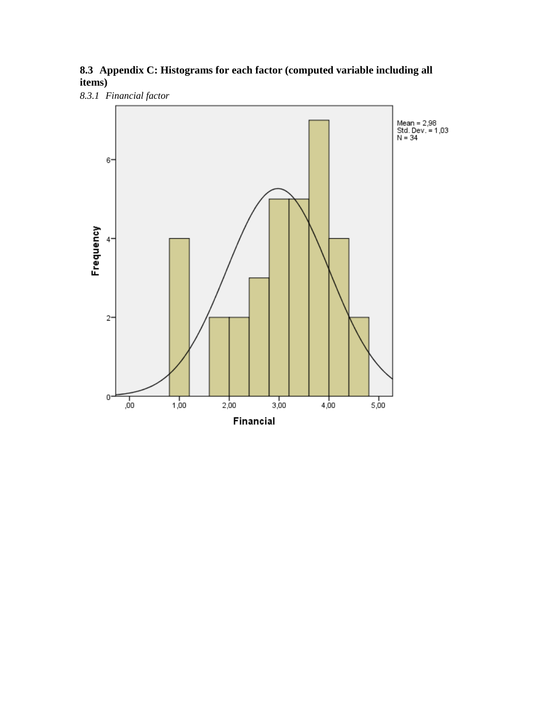## **8.3 Appendix C: Histograms for each factor (computed variable including all items)**

*8.3.1 Financial factor*

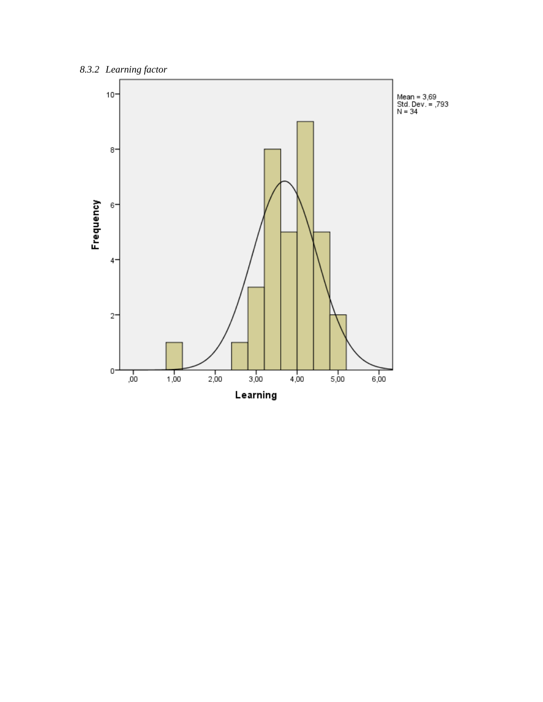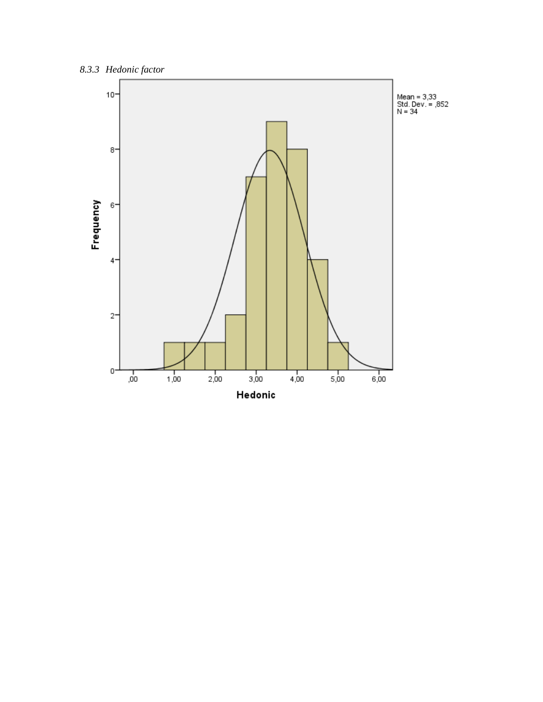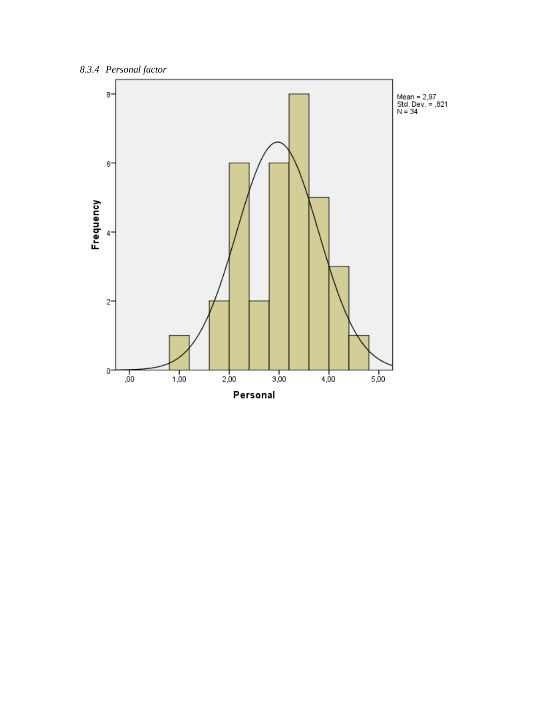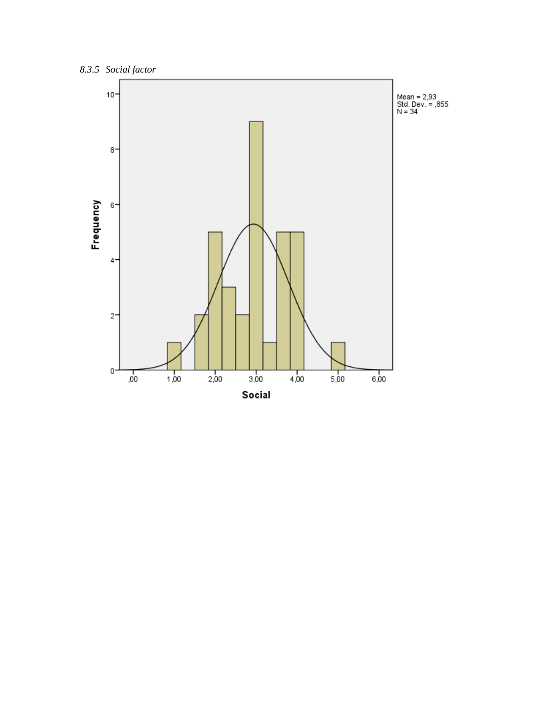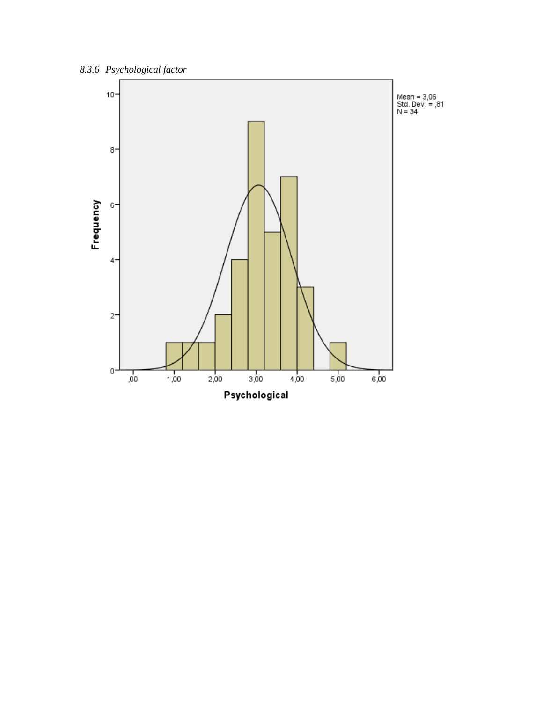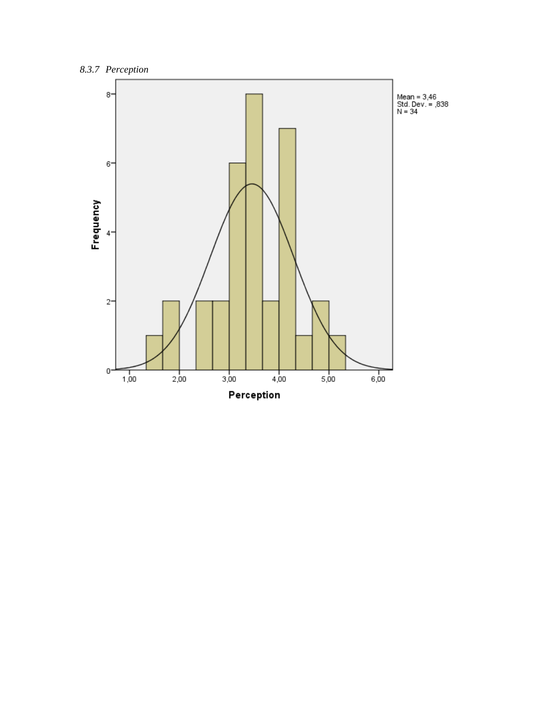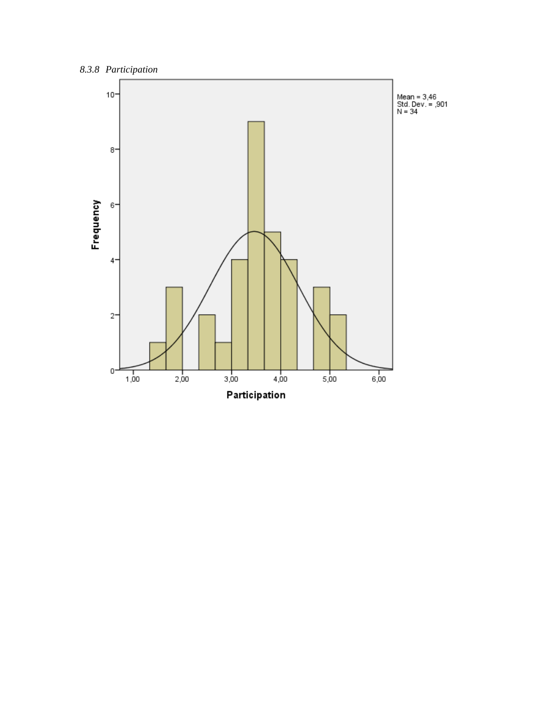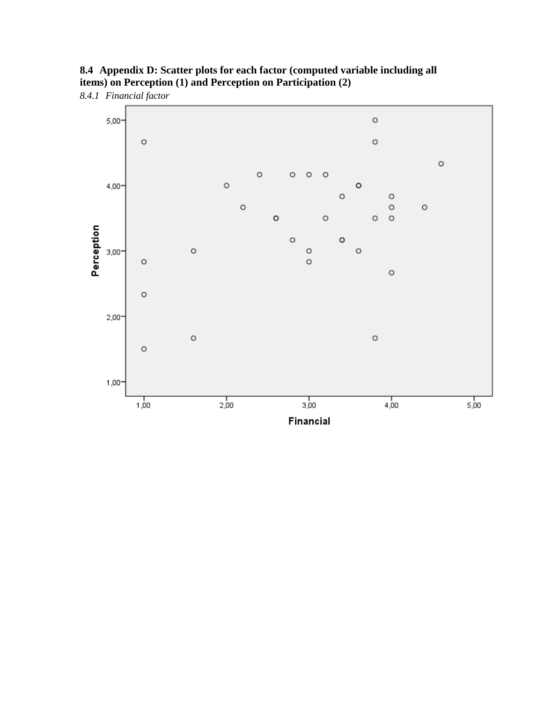

**8.4 Appendix D: Scatter plots for each factor (computed variable including all items) on Perception (1) and Perception on Participation (2)**

*8.4.1 Financial factor*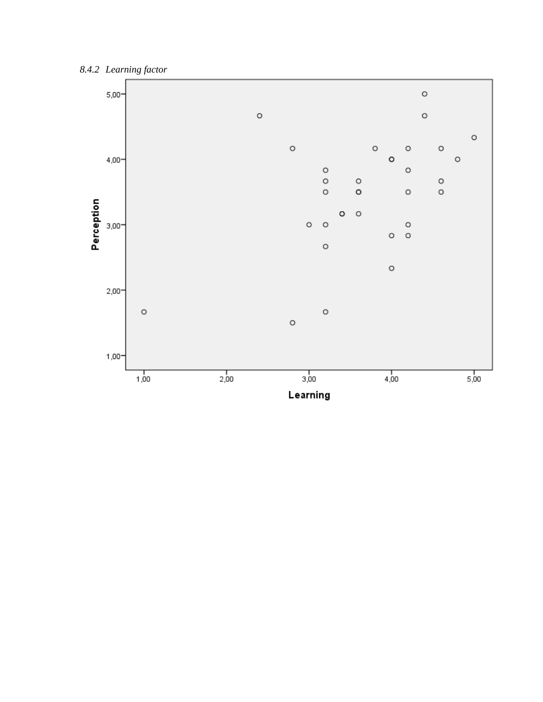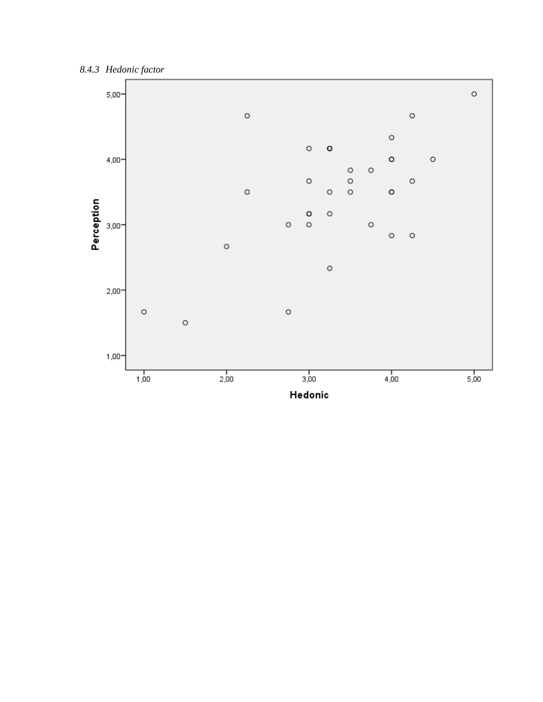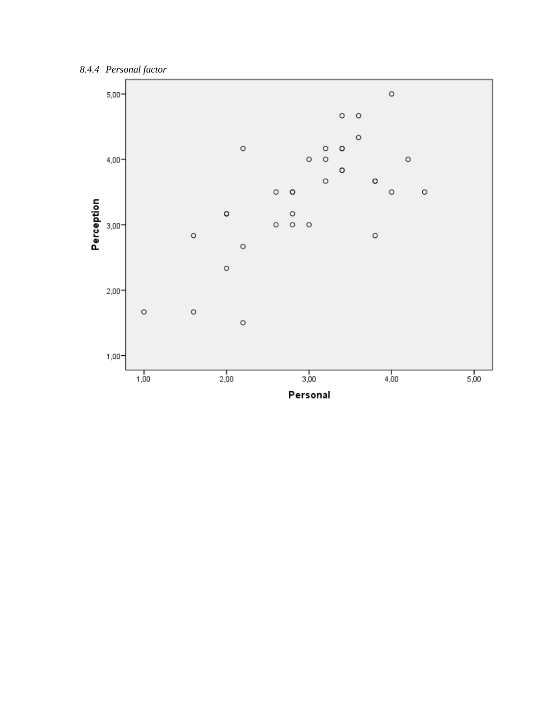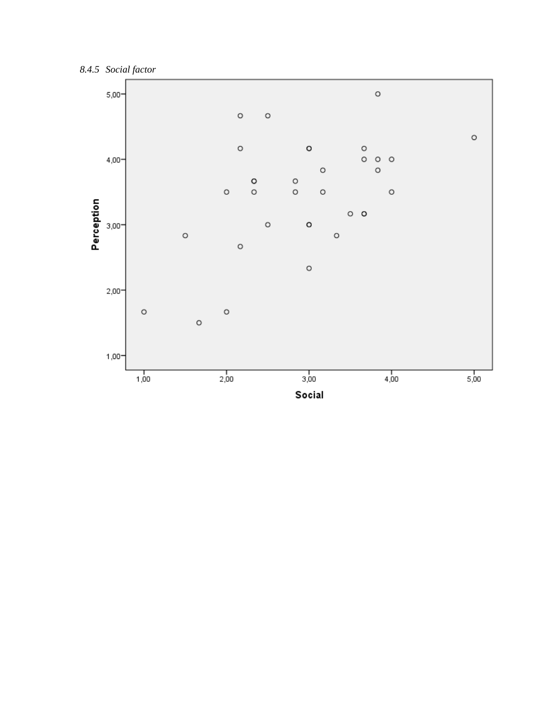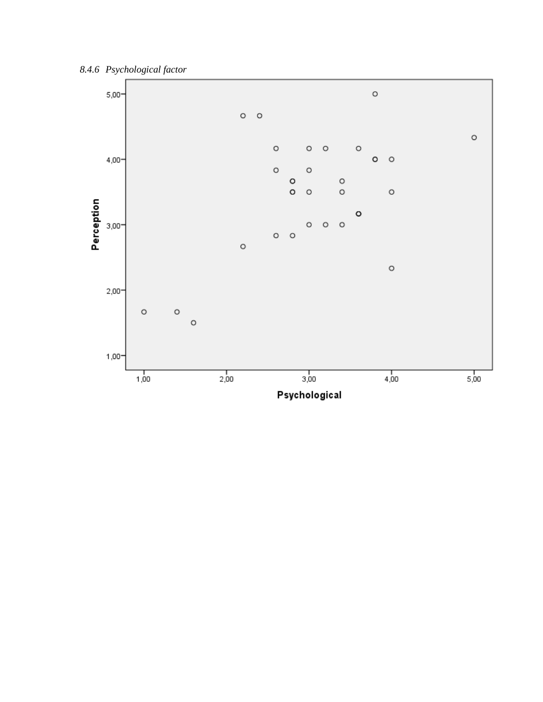